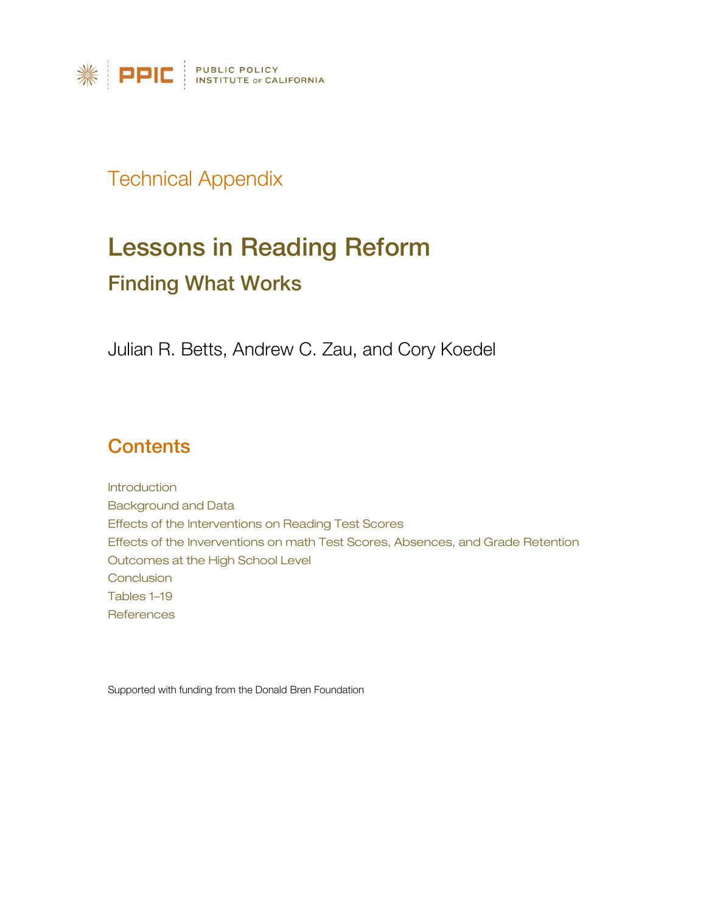

## Technical Appendix

# Lessons in Reading Reform Finding What Works

Julian R. Betts, Andrew C. Zau, and Cory Koedel

## **Contents**

Introduction Background and Data Effects of the Interventions on Reading Test Scores Effects of the Inverventions on math Test Scores, Absences, and Grade Retention Outcomes at the High School Level **Conclusion** Tables 1–19 **References** 

Supported with funding from the Donald Bren Foundation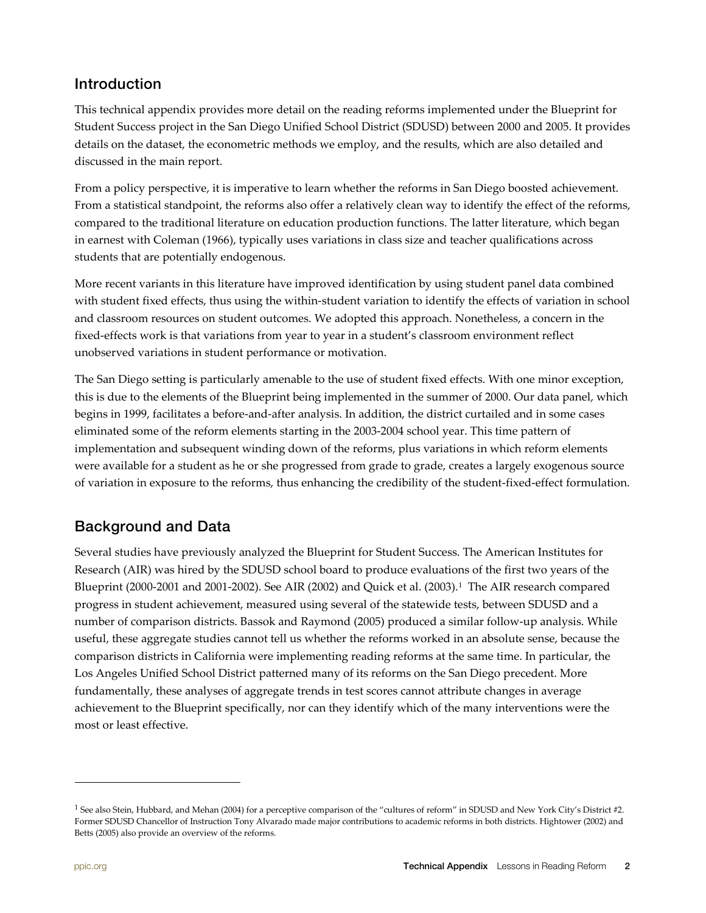## **Introduction**

This technical appendix provides more detail on the reading reforms implemented under the Blueprint for Student Success project in the San Diego Unified School District (SDUSD) between 2000 and 2005. It provides details on the dataset, the econometric methods we employ, and the results, which are also detailed and discussed in the main report.

From a policy perspective, it is imperative to learn whether the reforms in San Diego boosted achievement. From a statistical standpoint, the reforms also offer a relatively clean way to identify the effect of the reforms, compared to the traditional literature on education production functions. The latter literature, which began in earnest with Coleman (1966), typically uses variations in class size and teacher qualifications across students that are potentially endogenous.

More recent variants in this literature have improved identification by using student panel data combined with student fixed effects, thus using the within-student variation to identify the effects of variation in school and classroom resources on student outcomes. We adopted this approach. Nonetheless, a concern in the fixed-effects work is that variations from year to year in a student's classroom environment reflect unobserved variations in student performance or motivation.

The San Diego setting is particularly amenable to the use of student fixed effects. With one minor exception, this is due to the elements of the Blueprint being implemented in the summer of 2000. Our data panel, which begins in 1999, facilitates a before-and-after analysis. In addition, the district curtailed and in some cases eliminated some of the reform elements starting in the 2003-2004 school year. This time pattern of implementation and subsequent winding down of the reforms, plus variations in which reform elements were available for a student as he or she progressed from grade to grade, creates a largely exogenous source of variation in exposure to the reforms, thus enhancing the credibility of the student-fixed-effect formulation.

## Background and Data

Several studies have previously analyzed the Blueprint for Student Success. The American Institutes for Research (AIR) was hired by the SDUSD school board to produce evaluations of the first two years of the Blueprint (2000-200[1](#page-1-0) and 2001-2002). See AIR (2002) and Quick et al. (2003).<sup>1</sup> The AIR research compared progress in student achievement, measured using several of the statewide tests, between SDUSD and a number of comparison districts. Bassok and Raymond (2005) produced a similar follow-up analysis. While useful, these aggregate studies cannot tell us whether the reforms worked in an absolute sense, because the comparison districts in California were implementing reading reforms at the same time. In particular, the Los Angeles Unified School District patterned many of its reforms on the San Diego precedent. More fundamentally, these analyses of aggregate trends in test scores cannot attribute changes in average achievement to the Blueprint specifically, nor can they identify which of the many interventions were the most or least effective.

-

<span id="page-1-0"></span><sup>&</sup>lt;sup>1</sup> See also Stein, Hubbard, and Mehan (2004) for a perceptive comparison of the "cultures of reform" in SDUSD and New York City's District #2. Former SDUSD Chancellor of Instruction Tony Alvarado made major contributions to academic reforms in both districts. Hightower (2002) and Betts (2005) also provide an overview of the reforms.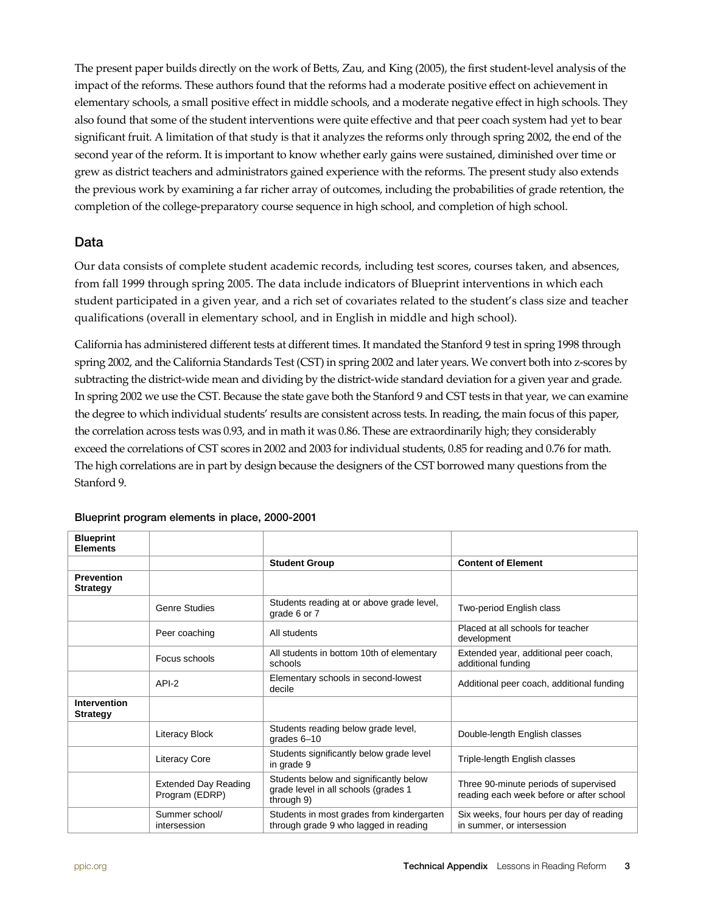The present paper builds directly on the work of Betts, Zau, and King (2005), the first student-level analysis of the impact of the reforms. These authors found that the reforms had a moderate positive effect on achievement in elementary schools, a small positive effect in middle schools, and a moderate negative effect in high schools. They also found that some of the student interventions were quite effective and that peer coach system had yet to bear significant fruit. A limitation of that study is that it analyzes the reforms only through spring 2002, the end of the second year of the reform. It is important to know whether early gains were sustained, diminished over time or grew as district teachers and administrators gained experience with the reforms. The present study also extends the previous work by examining a far richer array of outcomes, including the probabilities of grade retention, the completion of the college-preparatory course sequence in high school, and completion of high school.

#### Data

Our data consists of complete student academic records, including test scores, courses taken, and absences, from fall 1999 through spring 2005. The data include indicators of Blueprint interventions in which each student participated in a given year, and a rich set of covariates related to the student's class size and teacher qualifications (overall in elementary school, and in English in middle and high school).

California has administered different tests at different times. It mandated the Stanford 9 test in spring 1998 through spring 2002, and the California Standards Test (CST) in spring 2002 and later years. We convert both into z-scores by subtracting the district-wide mean and dividing by the district-wide standard deviation for a given year and grade. In spring 2002 we use the CST. Because the state gave both the Stanford 9 and CST tests in that year, we can examine the degree to which individual students' results are consistent across tests. In reading, the main focus of this paper, the correlation across tests was 0.93, and in math it was 0.86. These are extraordinarily high; they considerably exceed the correlations of CST scores in 2002 and 2003 for individual students, 0.85 for reading and 0.76 for math. The high correlations are in part by design because the designers of the CST borrowed many questions from the Stanford 9.

| <b>Blueprint</b><br><b>Elements</b>  |                                               |                                                                                              |                                                                                   |
|--------------------------------------|-----------------------------------------------|----------------------------------------------------------------------------------------------|-----------------------------------------------------------------------------------|
|                                      |                                               | <b>Student Group</b>                                                                         | <b>Content of Element</b>                                                         |
| <b>Prevention</b><br><b>Strategy</b> |                                               |                                                                                              |                                                                                   |
|                                      | <b>Genre Studies</b>                          | Students reading at or above grade level,<br>grade 6 or 7                                    | Two-period English class                                                          |
|                                      | Peer coaching                                 | All students                                                                                 | Placed at all schools for teacher<br>development                                  |
|                                      | Focus schools                                 | All students in bottom 10th of elementary<br>schools                                         | Extended year, additional peer coach,<br>additional funding                       |
|                                      | $API-2$                                       | Elementary schools in second-lowest<br>decile                                                | Additional peer coach, additional funding                                         |
| Intervention<br><b>Strategy</b>      |                                               |                                                                                              |                                                                                   |
|                                      | <b>Literacy Block</b>                         | Students reading below grade level,<br>grades $6-10$                                         | Double-length English classes                                                     |
|                                      | <b>Literacy Core</b>                          | Students significantly below grade level<br>in grade 9                                       | Triple-length English classes                                                     |
|                                      | <b>Extended Day Reading</b><br>Program (EDRP) | Students below and significantly below<br>grade level in all schools (grades 1<br>through 9) | Three 90-minute periods of supervised<br>reading each week before or after school |
|                                      | Summer school/<br>intersession                | Students in most grades from kindergarten<br>through grade 9 who lagged in reading           | Six weeks, four hours per day of reading<br>in summer, or intersession            |

#### Blueprint program elements in place, 2000-2001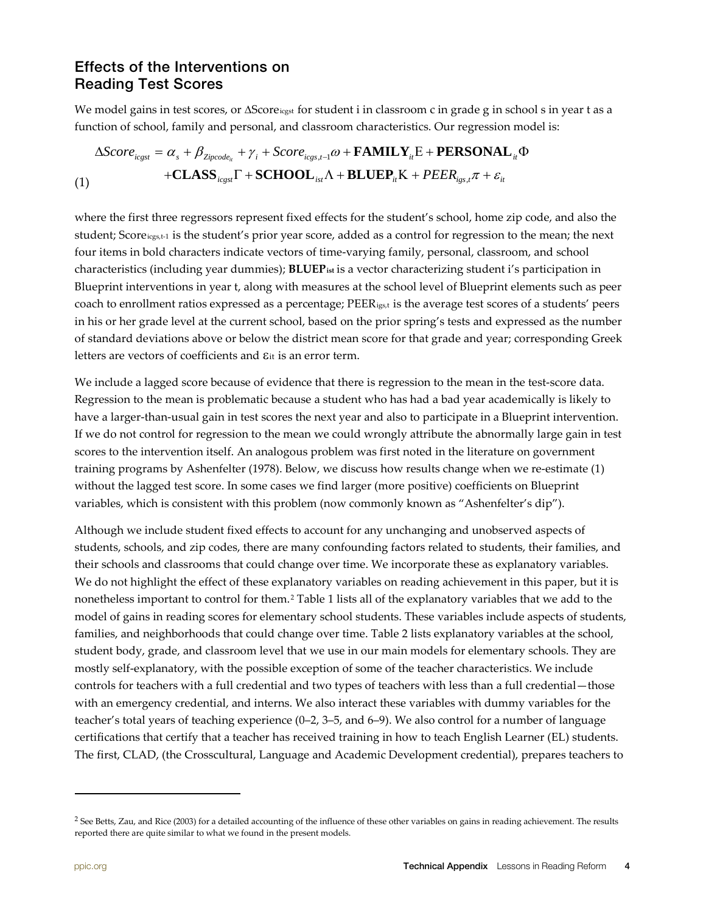### Effects of the Interventions on Reading Test Scores

We model gains in test scores, or ∆Score<sub>icgst</sub> for student i in classroom c in grade g in school s in year t as a function of school, family and personal, and classroom characteristics. Our regression model is:

$$
\Delta Score_{icgst} = \alpha_s + \beta_{Zipcode_{it}} + \gamma_i + Score_{icgs,t-1}\omega + \textbf{FAMILY}_{it}E + \textbf{PERSONAL}_{it}\Phi
$$
  
+**CLASS**<sub>icgst</sub>Γ + **SCHOOL**<sub>ist</sub>Λ + **BLUEP**<sub>it</sub>K + *PEER*<sub>igs,t</sub>π + ε<sub>it</sub>

where the first three regressors represent fixed effects for the student's school, home zip code, and also the student; Scoreicgs,t-1 is the student's prior year score, added as a control for regression to the mean; the next four items in bold characters indicate vectors of time-varying family, personal, classroom, and school characteristics (including year dummies); **BLUEPist** is a vector characterizing student i's participation in Blueprint interventions in year t, along with measures at the school level of Blueprint elements such as peer coach to enrollment ratios expressed as a percentage; PEERigs,t is the average test scores of a students' peers in his or her grade level at the current school, based on the prior spring's tests and expressed as the number of standard deviations above or below the district mean score for that grade and year; corresponding Greek letters are vectors of coefficients and εit is an error term.

We include a lagged score because of evidence that there is regression to the mean in the test-score data. Regression to the mean is problematic because a student who has had a bad year academically is likely to have a larger-than-usual gain in test scores the next year and also to participate in a Blueprint intervention. If we do not control for regression to the mean we could wrongly attribute the abnormally large gain in test scores to the intervention itself. An analogous problem was first noted in the literature on government training programs by Ashenfelter (1978). Below, we discuss how results change when we re-estimate (1) without the lagged test score. In some cases we find larger (more positive) coefficients on Blueprint variables, which is consistent with this problem (now commonly known as "Ashenfelter's dip").

Although we include student fixed effects to account for any unchanging and unobserved aspects of students, schools, and zip codes, there are many confounding factors related to students, their families, and their schools and classrooms that could change over time. We incorporate these as explanatory variables. We do not highlight the effect of these explanatory variables on reading achievement in this paper, but it is nonetheless important to control for them.<sup>[2](#page-3-0)</sup> Table 1 lists all of the explanatory variables that we add to the model of gains in reading scores for elementary school students. These variables include aspects of students, families, and neighborhoods that could change over time. Table 2 lists explanatory variables at the school, student body, grade, and classroom level that we use in our main models for elementary schools. They are mostly self-explanatory, with the possible exception of some of the teacher characteristics. We include controls for teachers with a full credential and two types of teachers with less than a full credential—those with an emergency credential, and interns. We also interact these variables with dummy variables for the teacher's total years of teaching experience (0–2, 3–5, and 6–9). We also control for a number of language certifications that certify that a teacher has received training in how to teach English Learner (EL) students. The first, CLAD, (the Crosscultural, Language and Academic Development credential), prepares teachers to

l

<span id="page-3-0"></span><sup>&</sup>lt;sup>2</sup> See Betts, Zau, and Rice (2003) for a detailed accounting of the influence of these other variables on gains in reading achievement. The results reported there are quite similar to what we found in the present models.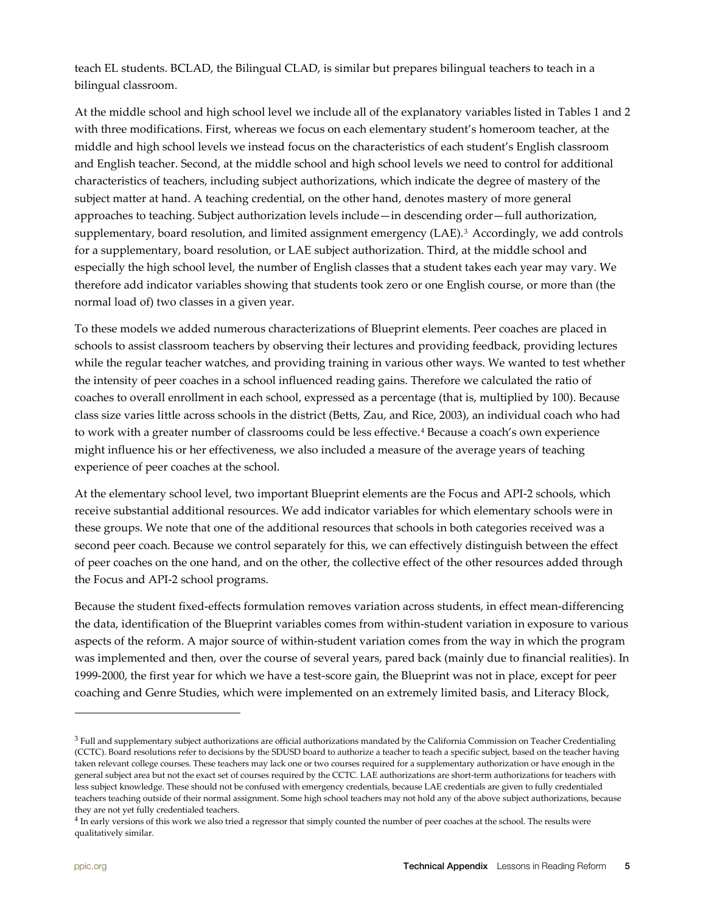teach EL students. BCLAD, the Bilingual CLAD, is similar but prepares bilingual teachers to teach in a bilingual classroom.

At the middle school and high school level we include all of the explanatory variables listed in Tables 1 and 2 with three modifications. First, whereas we focus on each elementary student's homeroom teacher, at the middle and high school levels we instead focus on the characteristics of each student's English classroom and English teacher. Second, at the middle school and high school levels we need to control for additional characteristics of teachers, including subject authorizations, which indicate the degree of mastery of the subject matter at hand. A teaching credential, on the other hand, denotes mastery of more general approaches to teaching. Subject authorization levels include—in descending order—full authorization, supplementary, board resolution, and limited assignment emergency (LAE).[3](#page-4-0) Accordingly, we add controls for a supplementary, board resolution, or LAE subject authorization. Third, at the middle school and especially the high school level, the number of English classes that a student takes each year may vary. We therefore add indicator variables showing that students took zero or one English course, or more than (the normal load of) two classes in a given year.

To these models we added numerous characterizations of Blueprint elements. Peer coaches are placed in schools to assist classroom teachers by observing their lectures and providing feedback, providing lectures while the regular teacher watches, and providing training in various other ways. We wanted to test whether the intensity of peer coaches in a school influenced reading gains. Therefore we calculated the ratio of coaches to overall enrollment in each school, expressed as a percentage (that is, multiplied by 100). Because class size varies little across schools in the district (Betts, Zau, and Rice, 2003), an individual coach who had to work with a greater number of classrooms could be less effective. [4](#page-4-1) Because a coach's own experience might influence his or her effectiveness, we also included a measure of the average years of teaching experience of peer coaches at the school.

At the elementary school level, two important Blueprint elements are the Focus and API-2 schools, which receive substantial additional resources. We add indicator variables for which elementary schools were in these groups. We note that one of the additional resources that schools in both categories received was a second peer coach. Because we control separately for this, we can effectively distinguish between the effect of peer coaches on the one hand, and on the other, the collective effect of the other resources added through the Focus and API-2 school programs.

Because the student fixed-effects formulation removes variation across students, in effect mean-differencing the data, identification of the Blueprint variables comes from within-student variation in exposure to various aspects of the reform. A major source of within-student variation comes from the way in which the program was implemented and then, over the course of several years, pared back (mainly due to financial realities). In 1999-2000, the first year for which we have a test-score gain, the Blueprint was not in place, except for peer coaching and Genre Studies, which were implemented on an extremely limited basis, and Literacy Block,

-

<span id="page-4-0"></span> $3$  Full and supplementary subject authorizations are official authorizations mandated by the California Commission on Teacher Credentialing (CCTC). Board resolutions refer to decisions by the SDUSD board to authorize a teacher to teach a specific subject, based on the teacher having taken relevant college courses. These teachers may lack one or two courses required for a supplementary authorization or have enough in the general subject area but not the exact set of courses required by the CCTC. LAE authorizations are short-term authorizations for teachers with less subject knowledge. These should not be confused with emergency credentials, because LAE credentials are given to fully credentialed teachers teaching outside of their normal assignment. Some high school teachers may not hold any of the above subject authorizations, because they are not yet fully credentialed teachers.

<span id="page-4-1"></span><sup>&</sup>lt;sup>4</sup> In early versions of this work we also tried a regressor that simply counted the number of peer coaches at the school. The results were qualitatively similar.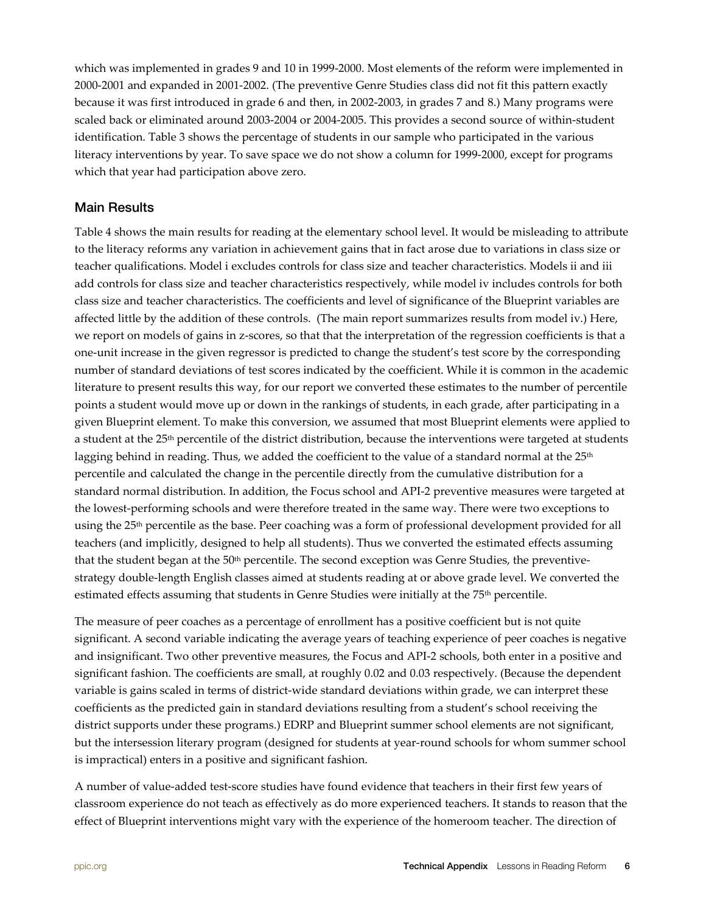which was implemented in grades 9 and 10 in 1999-2000. Most elements of the reform were implemented in 2000-2001 and expanded in 2001-2002. (The preventive Genre Studies class did not fit this pattern exactly because it was first introduced in grade 6 and then, in 2002-2003, in grades 7 and 8.) Many programs were scaled back or eliminated around 2003-2004 or 2004-2005. This provides a second source of within-student identification. Table 3 shows the percentage of students in our sample who participated in the various literacy interventions by year. To save space we do not show a column for 1999-2000, except for programs which that year had participation above zero.

#### Main Results

Table 4 shows the main results for reading at the elementary school level. It would be misleading to attribute to the literacy reforms any variation in achievement gains that in fact arose due to variations in class size or teacher qualifications. Model i excludes controls for class size and teacher characteristics. Models ii and iii add controls for class size and teacher characteristics respectively, while model iv includes controls for both class size and teacher characteristics. The coefficients and level of significance of the Blueprint variables are affected little by the addition of these controls. (The main report summarizes results from model iv.) Here, we report on models of gains in z-scores, so that that the interpretation of the regression coefficients is that a one-unit increase in the given regressor is predicted to change the student's test score by the corresponding number of standard deviations of test scores indicated by the coefficient. While it is common in the academic literature to present results this way, for our report we converted these estimates to the number of percentile points a student would move up or down in the rankings of students, in each grade, after participating in a given Blueprint element. To make this conversion, we assumed that most Blueprint elements were applied to a student at the 25<sup>th</sup> percentile of the district distribution, because the interventions were targeted at students lagging behind in reading. Thus, we added the coefficient to the value of a standard normal at the  $25<sup>th</sup>$ percentile and calculated the change in the percentile directly from the cumulative distribution for a standard normal distribution. In addition, the Focus school and API-2 preventive measures were targeted at the lowest-performing schools and were therefore treated in the same way. There were two exceptions to using the 25th percentile as the base. Peer coaching was a form of professional development provided for all teachers (and implicitly, designed to help all students). Thus we converted the estimated effects assuming that the student began at the 50<sup>th</sup> percentile. The second exception was Genre Studies, the preventivestrategy double-length English classes aimed at students reading at or above grade level. We converted the estimated effects assuming that students in Genre Studies were initially at the 75<sup>th</sup> percentile.

The measure of peer coaches as a percentage of enrollment has a positive coefficient but is not quite significant. A second variable indicating the average years of teaching experience of peer coaches is negative and insignificant. Two other preventive measures, the Focus and API-2 schools, both enter in a positive and significant fashion. The coefficients are small, at roughly 0.02 and 0.03 respectively. (Because the dependent variable is gains scaled in terms of district-wide standard deviations within grade, we can interpret these coefficients as the predicted gain in standard deviations resulting from a student's school receiving the district supports under these programs.) EDRP and Blueprint summer school elements are not significant, but the intersession literary program (designed for students at year-round schools for whom summer school is impractical) enters in a positive and significant fashion.

A number of value-added test-score studies have found evidence that teachers in their first few years of classroom experience do not teach as effectively as do more experienced teachers. It stands to reason that the effect of Blueprint interventions might vary with the experience of the homeroom teacher. The direction of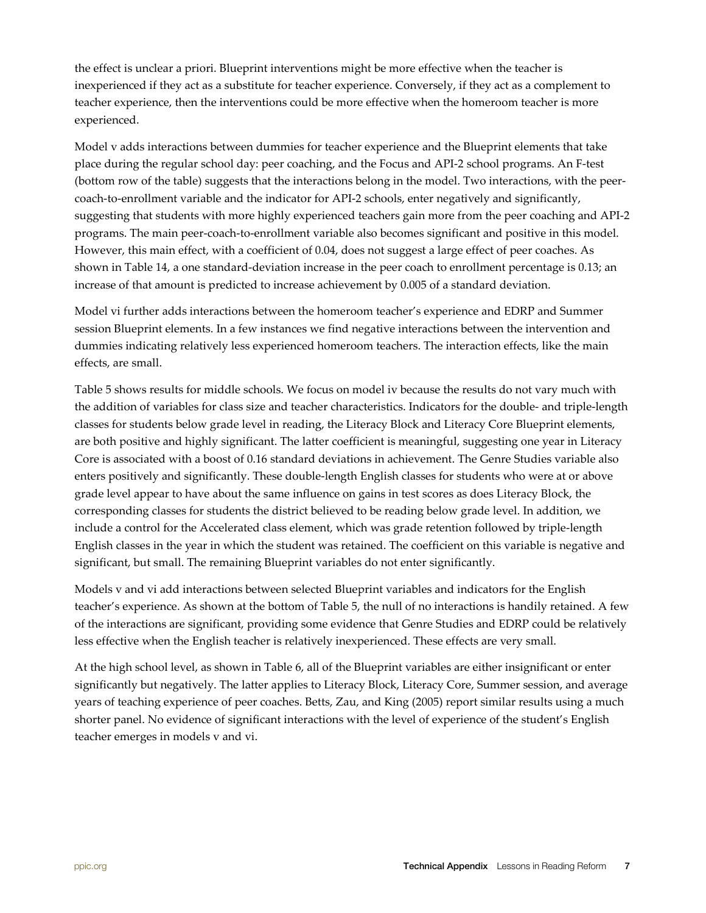the effect is unclear a priori. Blueprint interventions might be more effective when the teacher is inexperienced if they act as a substitute for teacher experience. Conversely, if they act as a complement to teacher experience, then the interventions could be more effective when the homeroom teacher is more experienced.

Model v adds interactions between dummies for teacher experience and the Blueprint elements that take place during the regular school day: peer coaching, and the Focus and API-2 school programs. An F-test (bottom row of the table) suggests that the interactions belong in the model. Two interactions, with the peercoach-to-enrollment variable and the indicator for API-2 schools, enter negatively and significantly, suggesting that students with more highly experienced teachers gain more from the peer coaching and API-2 programs. The main peer-coach-to-enrollment variable also becomes significant and positive in this model. However, this main effect, with a coefficient of 0.04, does not suggest a large effect of peer coaches. As shown in Table 14, a one standard-deviation increase in the peer coach to enrollment percentage is 0.13; an increase of that amount is predicted to increase achievement by 0.005 of a standard deviation.

Model vi further adds interactions between the homeroom teacher's experience and EDRP and Summer session Blueprint elements. In a few instances we find negative interactions between the intervention and dummies indicating relatively less experienced homeroom teachers. The interaction effects, like the main effects, are small.

Table 5 shows results for middle schools. We focus on model iv because the results do not vary much with the addition of variables for class size and teacher characteristics. Indicators for the double- and triple-length classes for students below grade level in reading, the Literacy Block and Literacy Core Blueprint elements, are both positive and highly significant. The latter coefficient is meaningful, suggesting one year in Literacy Core is associated with a boost of 0.16 standard deviations in achievement. The Genre Studies variable also enters positively and significantly. These double-length English classes for students who were at or above grade level appear to have about the same influence on gains in test scores as does Literacy Block, the corresponding classes for students the district believed to be reading below grade level. In addition, we include a control for the Accelerated class element, which was grade retention followed by triple-length English classes in the year in which the student was retained. The coefficient on this variable is negative and significant, but small. The remaining Blueprint variables do not enter significantly.

Models v and vi add interactions between selected Blueprint variables and indicators for the English teacher's experience. As shown at the bottom of Table 5, the null of no interactions is handily retained. A few of the interactions are significant, providing some evidence that Genre Studies and EDRP could be relatively less effective when the English teacher is relatively inexperienced. These effects are very small.

At the high school level, as shown in Table 6, all of the Blueprint variables are either insignificant or enter significantly but negatively. The latter applies to Literacy Block, Literacy Core, Summer session, and average years of teaching experience of peer coaches. Betts, Zau, and King (2005) report similar results using a much shorter panel. No evidence of significant interactions with the level of experience of the student's English teacher emerges in models v and vi.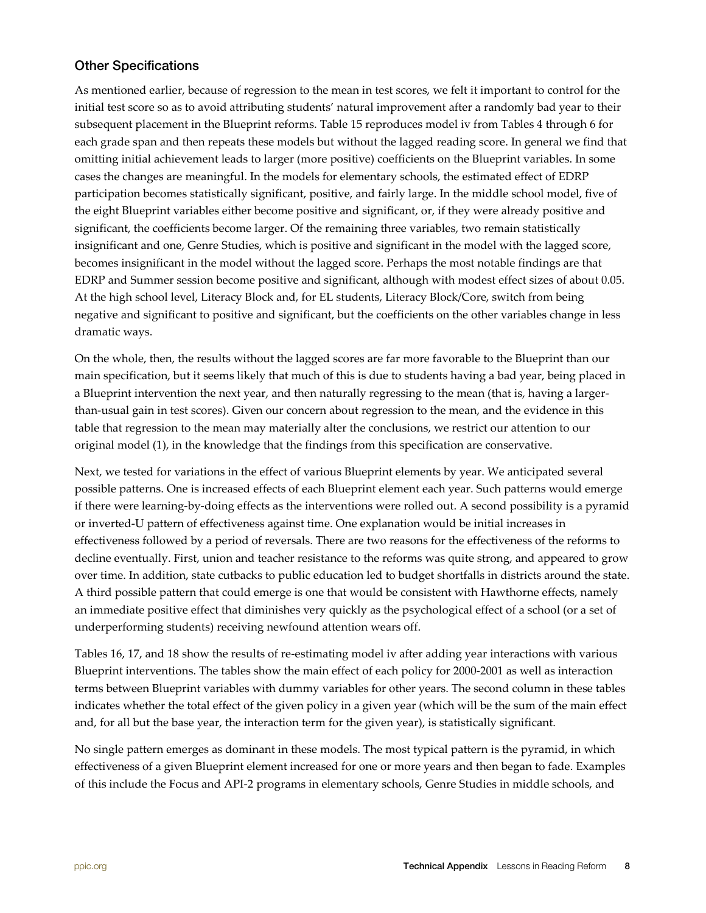### Other Specifications

As mentioned earlier, because of regression to the mean in test scores, we felt it important to control for the initial test score so as to avoid attributing students' natural improvement after a randomly bad year to their subsequent placement in the Blueprint reforms. Table 15 reproduces model iv from Tables 4 through 6 for each grade span and then repeats these models but without the lagged reading score. In general we find that omitting initial achievement leads to larger (more positive) coefficients on the Blueprint variables. In some cases the changes are meaningful. In the models for elementary schools, the estimated effect of EDRP participation becomes statistically significant, positive, and fairly large. In the middle school model, five of the eight Blueprint variables either become positive and significant, or, if they were already positive and significant, the coefficients become larger. Of the remaining three variables, two remain statistically insignificant and one, Genre Studies, which is positive and significant in the model with the lagged score, becomes insignificant in the model without the lagged score. Perhaps the most notable findings are that EDRP and Summer session become positive and significant, although with modest effect sizes of about 0.05. At the high school level, Literacy Block and, for EL students, Literacy Block/Core, switch from being negative and significant to positive and significant, but the coefficients on the other variables change in less dramatic ways.

On the whole, then, the results without the lagged scores are far more favorable to the Blueprint than our main specification, but it seems likely that much of this is due to students having a bad year, being placed in a Blueprint intervention the next year, and then naturally regressing to the mean (that is, having a largerthan-usual gain in test scores). Given our concern about regression to the mean, and the evidence in this table that regression to the mean may materially alter the conclusions, we restrict our attention to our original model (1), in the knowledge that the findings from this specification are conservative.

Next, we tested for variations in the effect of various Blueprint elements by year. We anticipated several possible patterns. One is increased effects of each Blueprint element each year. Such patterns would emerge if there were learning-by-doing effects as the interventions were rolled out. A second possibility is a pyramid or inverted-U pattern of effectiveness against time. One explanation would be initial increases in effectiveness followed by a period of reversals. There are two reasons for the effectiveness of the reforms to decline eventually. First, union and teacher resistance to the reforms was quite strong, and appeared to grow over time. In addition, state cutbacks to public education led to budget shortfalls in districts around the state. A third possible pattern that could emerge is one that would be consistent with Hawthorne effects, namely an immediate positive effect that diminishes very quickly as the psychological effect of a school (or a set of underperforming students) receiving newfound attention wears off.

Tables 16, 17, and 18 show the results of re-estimating model iv after adding year interactions with various Blueprint interventions. The tables show the main effect of each policy for 2000-2001 as well as interaction terms between Blueprint variables with dummy variables for other years. The second column in these tables indicates whether the total effect of the given policy in a given year (which will be the sum of the main effect and, for all but the base year, the interaction term for the given year), is statistically significant.

No single pattern emerges as dominant in these models. The most typical pattern is the pyramid, in which effectiveness of a given Blueprint element increased for one or more years and then began to fade. Examples of this include the Focus and API-2 programs in elementary schools, Genre Studies in middle schools, and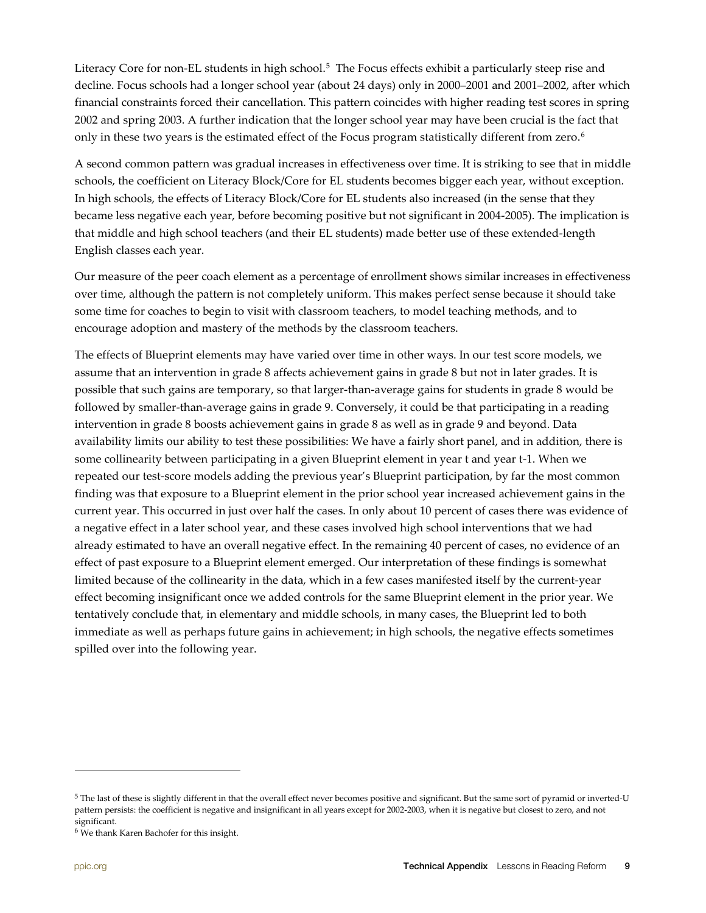Literacy Core for non-EL students in high school.<sup>[5](#page-8-0)</sup> The Focus effects exhibit a particularly steep rise and decline. Focus schools had a longer school year (about 24 days) only in 2000–2001 and 2001–2002, after which financial constraints forced their cancellation. This pattern coincides with higher reading test scores in spring 2002 and spring 2003. A further indication that the longer school year may have been crucial is the fact that only in these two years is the estimated effect of the Focus program statistically different from zero. [6](#page-8-1)

A second common pattern was gradual increases in effectiveness over time. It is striking to see that in middle schools, the coefficient on Literacy Block/Core for EL students becomes bigger each year, without exception. In high schools, the effects of Literacy Block/Core for EL students also increased (in the sense that they became less negative each year, before becoming positive but not significant in 2004-2005). The implication is that middle and high school teachers (and their EL students) made better use of these extended-length English classes each year.

Our measure of the peer coach element as a percentage of enrollment shows similar increases in effectiveness over time, although the pattern is not completely uniform. This makes perfect sense because it should take some time for coaches to begin to visit with classroom teachers, to model teaching methods, and to encourage adoption and mastery of the methods by the classroom teachers.

The effects of Blueprint elements may have varied over time in other ways. In our test score models, we assume that an intervention in grade 8 affects achievement gains in grade 8 but not in later grades. It is possible that such gains are temporary, so that larger-than-average gains for students in grade 8 would be followed by smaller-than-average gains in grade 9. Conversely, it could be that participating in a reading intervention in grade 8 boosts achievement gains in grade 8 as well as in grade 9 and beyond. Data availability limits our ability to test these possibilities: We have a fairly short panel, and in addition, there is some collinearity between participating in a given Blueprint element in year t and year t-1. When we repeated our test-score models adding the previous year's Blueprint participation, by far the most common finding was that exposure to a Blueprint element in the prior school year increased achievement gains in the current year. This occurred in just over half the cases. In only about 10 percent of cases there was evidence of a negative effect in a later school year, and these cases involved high school interventions that we had already estimated to have an overall negative effect. In the remaining 40 percent of cases, no evidence of an effect of past exposure to a Blueprint element emerged. Our interpretation of these findings is somewhat limited because of the collinearity in the data, which in a few cases manifested itself by the current-year effect becoming insignificant once we added controls for the same Blueprint element in the prior year. We tentatively conclude that, in elementary and middle schools, in many cases, the Blueprint led to both immediate as well as perhaps future gains in achievement; in high schools, the negative effects sometimes spilled over into the following year.

l

<span id="page-8-0"></span><sup>&</sup>lt;sup>5</sup> The last of these is slightly different in that the overall effect never becomes positive and significant. But the same sort of pyramid or inverted-U pattern persists: the coefficient is negative and insignificant in all years except for 2002-2003, when it is negative but closest to zero, and not significant.

<span id="page-8-1"></span><sup>6</sup> We thank Karen Bachofer for this insight.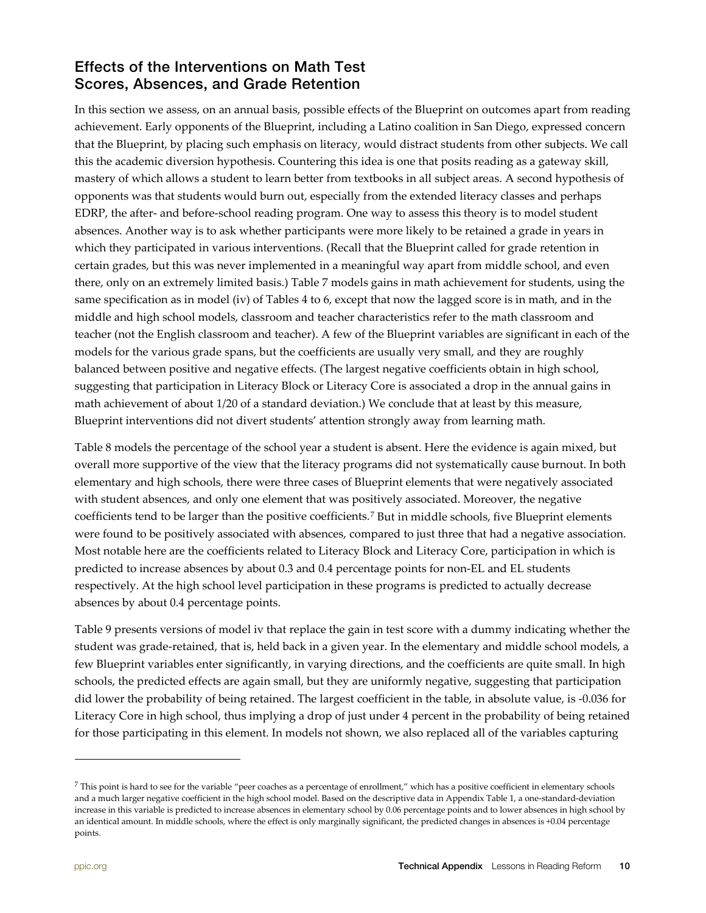## Effects of the Interventions on Math Test Scores, Absences, and Grade Retention

In this section we assess, on an annual basis, possible effects of the Blueprint on outcomes apart from reading achievement. Early opponents of the Blueprint, including a Latino coalition in San Diego, expressed concern that the Blueprint, by placing such emphasis on literacy, would distract students from other subjects. We call this the academic diversion hypothesis. Countering this idea is one that posits reading as a gateway skill, mastery of which allows a student to learn better from textbooks in all subject areas. A second hypothesis of opponents was that students would burn out, especially from the extended literacy classes and perhaps EDRP, the after- and before-school reading program. One way to assess this theory is to model student absences. Another way is to ask whether participants were more likely to be retained a grade in years in which they participated in various interventions. (Recall that the Blueprint called for grade retention in certain grades, but this was never implemented in a meaningful way apart from middle school, and even there, only on an extremely limited basis.) Table 7 models gains in math achievement for students, using the same specification as in model (iv) of Tables 4 to 6, except that now the lagged score is in math, and in the middle and high school models, classroom and teacher characteristics refer to the math classroom and teacher (not the English classroom and teacher). A few of the Blueprint variables are significant in each of the models for the various grade spans, but the coefficients are usually very small, and they are roughly balanced between positive and negative effects. (The largest negative coefficients obtain in high school, suggesting that participation in Literacy Block or Literacy Core is associated a drop in the annual gains in math achievement of about 1/20 of a standard deviation.) We conclude that at least by this measure, Blueprint interventions did not divert students' attention strongly away from learning math.

Table 8 models the percentage of the school year a student is absent. Here the evidence is again mixed, but overall more supportive of the view that the literacy programs did not systematically cause burnout. In both elementary and high schools, there were three cases of Blueprint elements that were negatively associated with student absences, and only one element that was positively associated. Moreover, the negative coefficients tend to be larger than the positive coefficients.[7](#page-9-0) But in middle schools, five Blueprint elements were found to be positively associated with absences, compared to just three that had a negative association. Most notable here are the coefficients related to Literacy Block and Literacy Core, participation in which is predicted to increase absences by about 0.3 and 0.4 percentage points for non-EL and EL students respectively. At the high school level participation in these programs is predicted to actually decrease absences by about 0.4 percentage points.

Table 9 presents versions of model iv that replace the gain in test score with a dummy indicating whether the student was grade-retained, that is, held back in a given year. In the elementary and middle school models, a few Blueprint variables enter significantly, in varying directions, and the coefficients are quite small. In high schools, the predicted effects are again small, but they are uniformly negative, suggesting that participation did lower the probability of being retained. The largest coefficient in the table, in absolute value, is -0.036 for Literacy Core in high school, thus implying a drop of just under 4 percent in the probability of being retained for those participating in this element. In models not shown, we also replaced all of the variables capturing

l

<span id="page-9-0"></span> $^7$  This point is hard to see for the variable "peer coaches as a percentage of enrollment," which has a positive coefficient in elementary schools and a much larger negative coefficient in the high school model. Based on the descriptive data in Appendix Table 1, a one-standard-deviation increase in this variable is predicted to increase absences in elementary school by 0.06 percentage points and to lower absences in high school by an identical amount. In middle schools, where the effect is only marginally significant, the predicted changes in absences is +0.04 percentage points.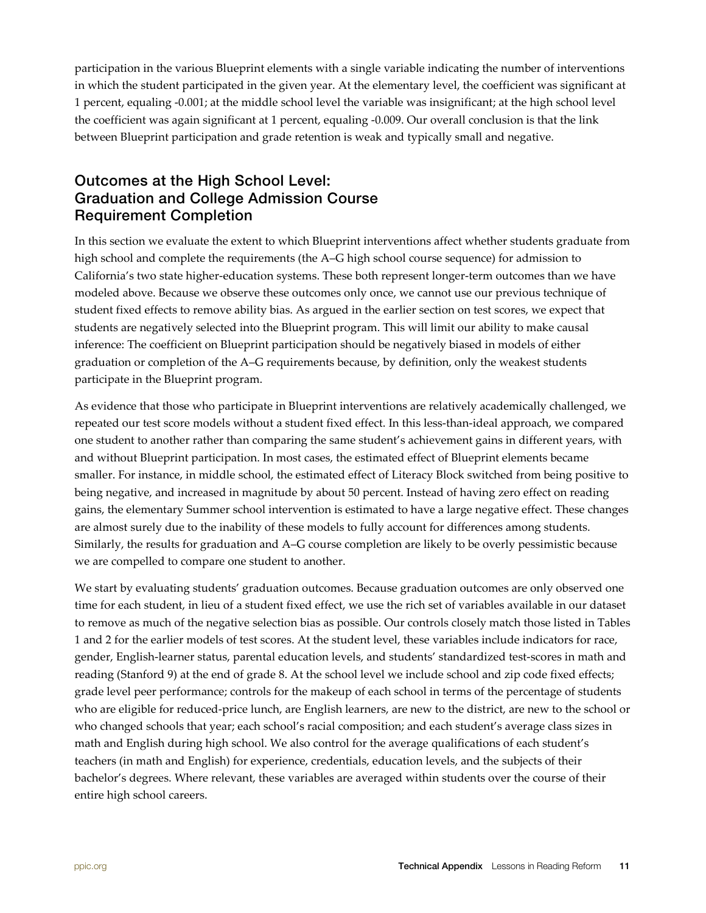participation in the various Blueprint elements with a single variable indicating the number of interventions in which the student participated in the given year. At the elementary level, the coefficient was significant at 1 percent, equaling -0.001; at the middle school level the variable was insignificant; at the high school level the coefficient was again significant at 1 percent, equaling -0.009. Our overall conclusion is that the link between Blueprint participation and grade retention is weak and typically small and negative.

## Outcomes at the High School Level: Graduation and College Admission Course Requirement Completion

In this section we evaluate the extent to which Blueprint interventions affect whether students graduate from high school and complete the requirements (the A–G high school course sequence) for admission to California's two state higher-education systems. These both represent longer-term outcomes than we have modeled above. Because we observe these outcomes only once, we cannot use our previous technique of student fixed effects to remove ability bias. As argued in the earlier section on test scores, we expect that students are negatively selected into the Blueprint program. This will limit our ability to make causal inference: The coefficient on Blueprint participation should be negatively biased in models of either graduation or completion of the A–G requirements because, by definition, only the weakest students participate in the Blueprint program.

As evidence that those who participate in Blueprint interventions are relatively academically challenged, we repeated our test score models without a student fixed effect. In this less-than-ideal approach, we compared one student to another rather than comparing the same student's achievement gains in different years, with and without Blueprint participation. In most cases, the estimated effect of Blueprint elements became smaller. For instance, in middle school, the estimated effect of Literacy Block switched from being positive to being negative, and increased in magnitude by about 50 percent. Instead of having zero effect on reading gains, the elementary Summer school intervention is estimated to have a large negative effect. These changes are almost surely due to the inability of these models to fully account for differences among students. Similarly, the results for graduation and A–G course completion are likely to be overly pessimistic because we are compelled to compare one student to another.

We start by evaluating students' graduation outcomes. Because graduation outcomes are only observed one time for each student, in lieu of a student fixed effect, we use the rich set of variables available in our dataset to remove as much of the negative selection bias as possible. Our controls closely match those listed in Tables 1 and 2 for the earlier models of test scores. At the student level, these variables include indicators for race, gender, English-learner status, parental education levels, and students' standardized test-scores in math and reading (Stanford 9) at the end of grade 8. At the school level we include school and zip code fixed effects; grade level peer performance; controls for the makeup of each school in terms of the percentage of students who are eligible for reduced-price lunch, are English learners, are new to the district, are new to the school or who changed schools that year; each school's racial composition; and each student's average class sizes in math and English during high school. We also control for the average qualifications of each student's teachers (in math and English) for experience, credentials, education levels, and the subjects of their bachelor's degrees. Where relevant, these variables are averaged within students over the course of their entire high school careers.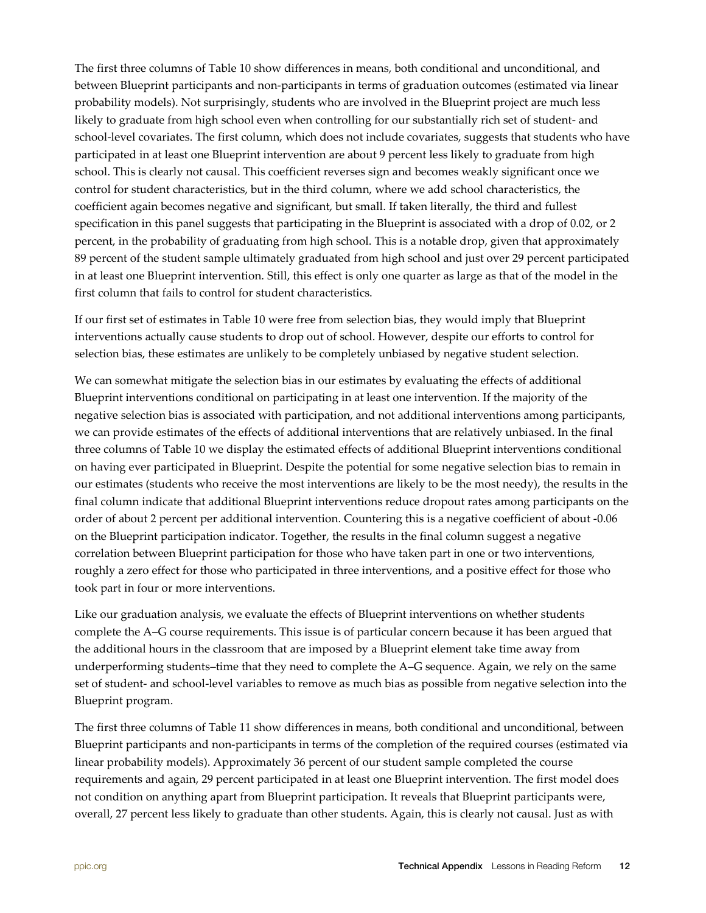The first three columns of Table 10 show differences in means, both conditional and unconditional, and between Blueprint participants and non-participants in terms of graduation outcomes (estimated via linear probability models). Not surprisingly, students who are involved in the Blueprint project are much less likely to graduate from high school even when controlling for our substantially rich set of student- and school-level covariates. The first column, which does not include covariates, suggests that students who have participated in at least one Blueprint intervention are about 9 percent less likely to graduate from high school. This is clearly not causal. This coefficient reverses sign and becomes weakly significant once we control for student characteristics, but in the third column, where we add school characteristics, the coefficient again becomes negative and significant, but small. If taken literally, the third and fullest specification in this panel suggests that participating in the Blueprint is associated with a drop of 0.02, or 2 percent, in the probability of graduating from high school. This is a notable drop, given that approximately 89 percent of the student sample ultimately graduated from high school and just over 29 percent participated in at least one Blueprint intervention. Still, this effect is only one quarter as large as that of the model in the first column that fails to control for student characteristics.

If our first set of estimates in Table 10 were free from selection bias, they would imply that Blueprint interventions actually cause students to drop out of school. However, despite our efforts to control for selection bias, these estimates are unlikely to be completely unbiased by negative student selection.

We can somewhat mitigate the selection bias in our estimates by evaluating the effects of additional Blueprint interventions conditional on participating in at least one intervention. If the majority of the negative selection bias is associated with participation, and not additional interventions among participants, we can provide estimates of the effects of additional interventions that are relatively unbiased. In the final three columns of Table 10 we display the estimated effects of additional Blueprint interventions conditional on having ever participated in Blueprint. Despite the potential for some negative selection bias to remain in our estimates (students who receive the most interventions are likely to be the most needy), the results in the final column indicate that additional Blueprint interventions reduce dropout rates among participants on the order of about 2 percent per additional intervention. Countering this is a negative coefficient of about -0.06 on the Blueprint participation indicator. Together, the results in the final column suggest a negative correlation between Blueprint participation for those who have taken part in one or two interventions, roughly a zero effect for those who participated in three interventions, and a positive effect for those who took part in four or more interventions.

Like our graduation analysis, we evaluate the effects of Blueprint interventions on whether students complete the A–G course requirements. This issue is of particular concern because it has been argued that the additional hours in the classroom that are imposed by a Blueprint element take time away from underperforming students–time that they need to complete the A–G sequence. Again, we rely on the same set of student- and school-level variables to remove as much bias as possible from negative selection into the Blueprint program.

The first three columns of Table 11 show differences in means, both conditional and unconditional, between Blueprint participants and non-participants in terms of the completion of the required courses (estimated via linear probability models). Approximately 36 percent of our student sample completed the course requirements and again, 29 percent participated in at least one Blueprint intervention. The first model does not condition on anything apart from Blueprint participation. It reveals that Blueprint participants were, overall, 27 percent less likely to graduate than other students. Again, this is clearly not causal. Just as with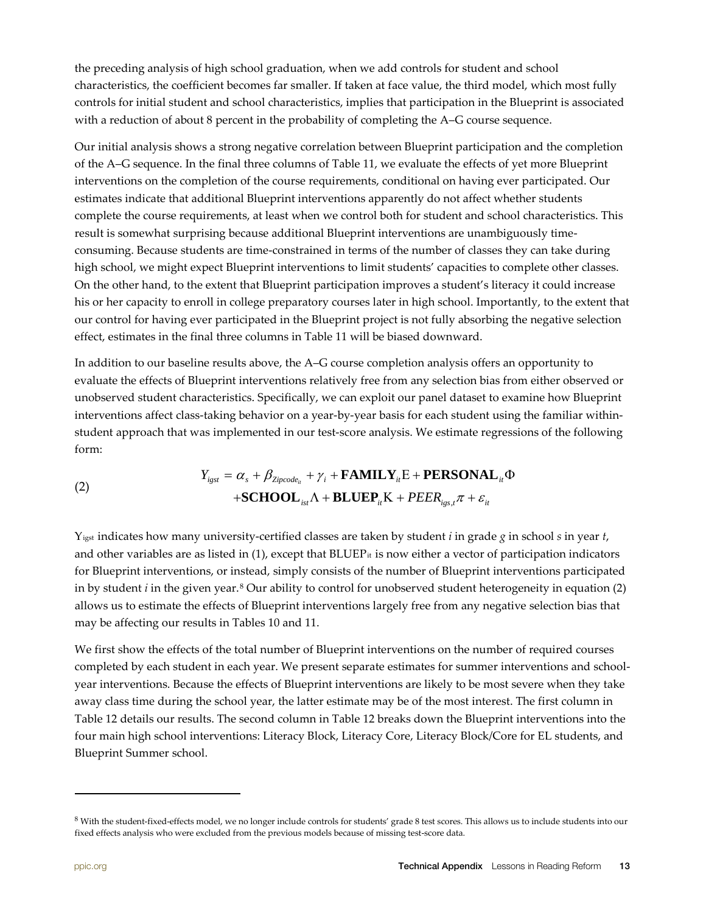the preceding analysis of high school graduation, when we add controls for student and school characteristics, the coefficient becomes far smaller. If taken at face value, the third model, which most fully controls for initial student and school characteristics, implies that participation in the Blueprint is associated with a reduction of about 8 percent in the probability of completing the A–G course sequence.

Our initial analysis shows a strong negative correlation between Blueprint participation and the completion of the A–G sequence. In the final three columns of Table 11, we evaluate the effects of yet more Blueprint interventions on the completion of the course requirements, conditional on having ever participated. Our estimates indicate that additional Blueprint interventions apparently do not affect whether students complete the course requirements, at least when we control both for student and school characteristics. This result is somewhat surprising because additional Blueprint interventions are unambiguously timeconsuming. Because students are time-constrained in terms of the number of classes they can take during high school, we might expect Blueprint interventions to limit students' capacities to complete other classes. On the other hand, to the extent that Blueprint participation improves a student's literacy it could increase his or her capacity to enroll in college preparatory courses later in high school. Importantly, to the extent that our control for having ever participated in the Blueprint project is not fully absorbing the negative selection effect, estimates in the final three columns in Table 11 will be biased downward.

In addition to our baseline results above, the A–G course completion analysis offers an opportunity to evaluate the effects of Blueprint interventions relatively free from any selection bias from either observed or unobserved student characteristics. Specifically, we can exploit our panel dataset to examine how Blueprint interventions affect class-taking behavior on a year-by-year basis for each student using the familiar withinstudent approach that was implemented in our test-score analysis. We estimate regressions of the following form:

(2)  
\n
$$
Y_{\text{igst}} = \alpha_s + \beta_{\text{Zipcode}_{it}} + \gamma_i + \text{FAMILY}_{it}E + \text{PERSONAL}_{it} \Phi
$$
\n
$$
+ \text{SCHOOL}_{ist} \Lambda + \text{BLEP}_{it} K + \text{PEER}_{\text{igst}} \pi + \varepsilon_{it}
$$

Yigst indicates how many university-certified classes are taken by student *i* in grade *g* in school *s* in year *t*, and other variables are as listed in  $(1)$ , except that BLUEP<sub>it</sub> is now either a vector of participation indicators for Blueprint interventions, or instead, simply consists of the number of Blueprint interventions participated in by student *i* in the given year.<sup>[8](#page-12-0)</sup> Our ability to control for unobserved student heterogeneity in equation (2) allows us to estimate the effects of Blueprint interventions largely free from any negative selection bias that may be affecting our results in Tables 10 and 11.

We first show the effects of the total number of Blueprint interventions on the number of required courses completed by each student in each year. We present separate estimates for summer interventions and schoolyear interventions. Because the effects of Blueprint interventions are likely to be most severe when they take away class time during the school year, the latter estimate may be of the most interest. The first column in Table 12 details our results. The second column in Table 12 breaks down the Blueprint interventions into the four main high school interventions: Literacy Block, Literacy Core, Literacy Block/Core for EL students, and Blueprint Summer school.

l

<span id="page-12-0"></span> $8$  With the student-fixed-effects model, we no longer include controls for students' grade 8 test scores. This allows us to include students into our fixed effects analysis who were excluded from the previous models because of missing test-score data.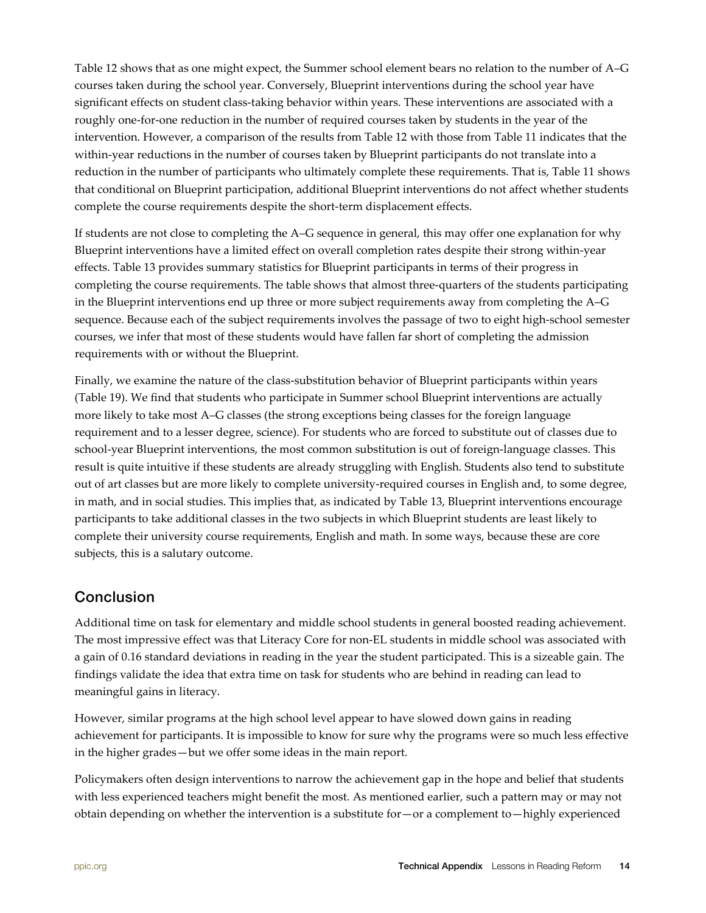Table 12 shows that as one might expect, the Summer school element bears no relation to the number of A–G courses taken during the school year. Conversely, Blueprint interventions during the school year have significant effects on student class-taking behavior within years. These interventions are associated with a roughly one-for-one reduction in the number of required courses taken by students in the year of the intervention. However, a comparison of the results from Table 12 with those from Table 11 indicates that the within-year reductions in the number of courses taken by Blueprint participants do not translate into a reduction in the number of participants who ultimately complete these requirements. That is, Table 11 shows that conditional on Blueprint participation, additional Blueprint interventions do not affect whether students complete the course requirements despite the short-term displacement effects.

If students are not close to completing the A–G sequence in general, this may offer one explanation for why Blueprint interventions have a limited effect on overall completion rates despite their strong within-year effects. Table 13 provides summary statistics for Blueprint participants in terms of their progress in completing the course requirements. The table shows that almost three-quarters of the students participating in the Blueprint interventions end up three or more subject requirements away from completing the A–G sequence. Because each of the subject requirements involves the passage of two to eight high-school semester courses, we infer that most of these students would have fallen far short of completing the admission requirements with or without the Blueprint.

Finally, we examine the nature of the class-substitution behavior of Blueprint participants within years (Table 19). We find that students who participate in Summer school Blueprint interventions are actually more likely to take most A–G classes (the strong exceptions being classes for the foreign language requirement and to a lesser degree, science). For students who are forced to substitute out of classes due to school-year Blueprint interventions, the most common substitution is out of foreign-language classes. This result is quite intuitive if these students are already struggling with English. Students also tend to substitute out of art classes but are more likely to complete university-required courses in English and, to some degree, in math, and in social studies. This implies that, as indicated by Table 13, Blueprint interventions encourage participants to take additional classes in the two subjects in which Blueprint students are least likely to complete their university course requirements, English and math. In some ways, because these are core subjects, this is a salutary outcome.

## Conclusion

Additional time on task for elementary and middle school students in general boosted reading achievement. The most impressive effect was that Literacy Core for non-EL students in middle school was associated with a gain of 0.16 standard deviations in reading in the year the student participated. This is a sizeable gain. The findings validate the idea that extra time on task for students who are behind in reading can lead to meaningful gains in literacy.

However, similar programs at the high school level appear to have slowed down gains in reading achievement for participants. It is impossible to know for sure why the programs were so much less effective in the higher grades—but we offer some ideas in the main report.

Policymakers often design interventions to narrow the achievement gap in the hope and belief that students with less experienced teachers might benefit the most. As mentioned earlier, such a pattern may or may not obtain depending on whether the intervention is a substitute for—or a complement to—highly experienced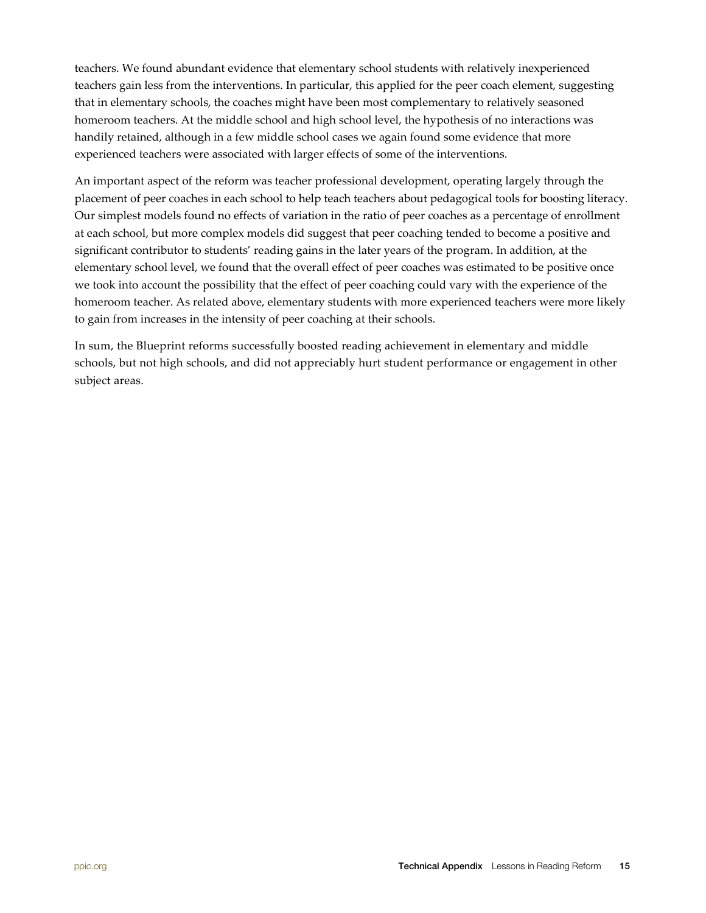teachers. We found abundant evidence that elementary school students with relatively inexperienced teachers gain less from the interventions. In particular, this applied for the peer coach element, suggesting that in elementary schools, the coaches might have been most complementary to relatively seasoned homeroom teachers. At the middle school and high school level, the hypothesis of no interactions was handily retained, although in a few middle school cases we again found some evidence that more experienced teachers were associated with larger effects of some of the interventions.

An important aspect of the reform was teacher professional development, operating largely through the placement of peer coaches in each school to help teach teachers about pedagogical tools for boosting literacy. Our simplest models found no effects of variation in the ratio of peer coaches as a percentage of enrollment at each school, but more complex models did suggest that peer coaching tended to become a positive and significant contributor to students' reading gains in the later years of the program. In addition, at the elementary school level, we found that the overall effect of peer coaches was estimated to be positive once we took into account the possibility that the effect of peer coaching could vary with the experience of the homeroom teacher. As related above, elementary students with more experienced teachers were more likely to gain from increases in the intensity of peer coaching at their schools.

In sum, the Blueprint reforms successfully boosted reading achievement in elementary and middle schools, but not high schools, and did not appreciably hurt student performance or engagement in other subject areas.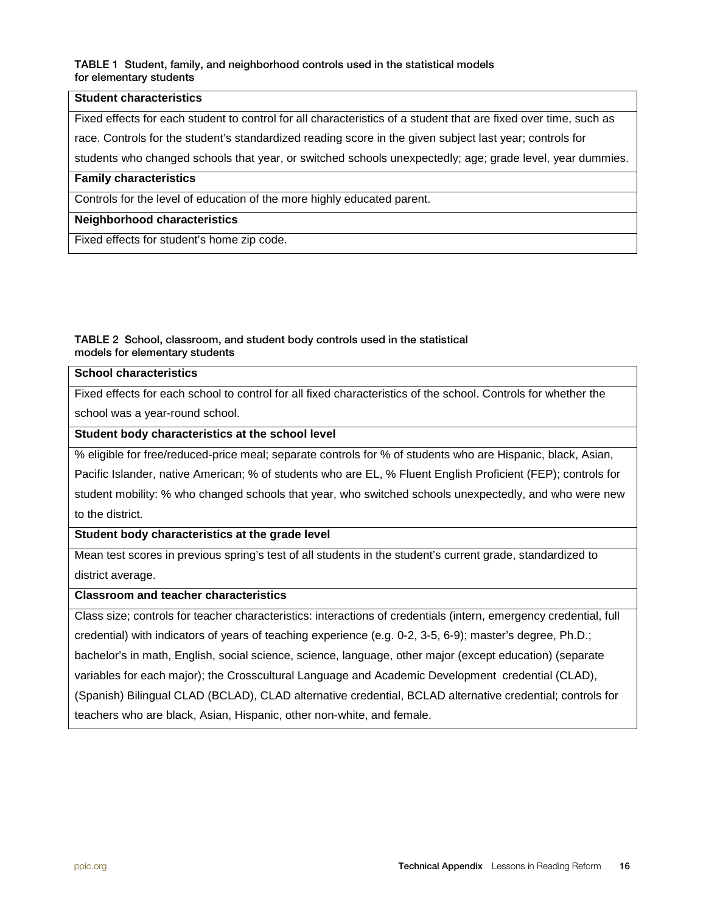#### TABLE 1 Student, family, and neighborhood controls used in the statistical models for elementary students

#### **Student characteristics**

Fixed effects for each student to control for all characteristics of a student that are fixed over time, such as

race. Controls for the student's standardized reading score in the given subject last year; controls for

students who changed schools that year, or switched schools unexpectedly; age; grade level, year dummies.

#### **Family characteristics**

Controls for the level of education of the more highly educated parent.

#### **Neighborhood characteristics**

Fixed effects for student's home zip code.

#### TABLE 2 School, classroom, and student body controls used in the statistical models for elementary students

## **School characteristics** Fixed effects for each school to control for all fixed characteristics of the school. Controls for whether the

school was a year-round school.

**Student body characteristics at the school level**

% eligible for free/reduced-price meal; separate controls for % of students who are Hispanic, black, Asian, Pacific Islander, native American; % of students who are EL, % Fluent English Proficient (FEP); controls for student mobility: % who changed schools that year, who switched schools unexpectedly, and who were new

to the district.

#### **Student body characteristics at the grade level**

Mean test scores in previous spring's test of all students in the student's current grade, standardized to district average.

#### **Classroom and teacher characteristics**

Class size; controls for teacher characteristics: interactions of credentials (intern, emergency credential, full credential) with indicators of years of teaching experience (e.g. 0-2, 3-5, 6-9); master's degree, Ph.D.; bachelor's in math, English, social science, science, language, other major (except education) (separate variables for each major); the Crosscultural Language and Academic Development credential (CLAD), (Spanish) Bilingual CLAD (BCLAD), CLAD alternative credential, BCLAD alternative credential; controls for teachers who are black, Asian, Hispanic, other non-white, and female.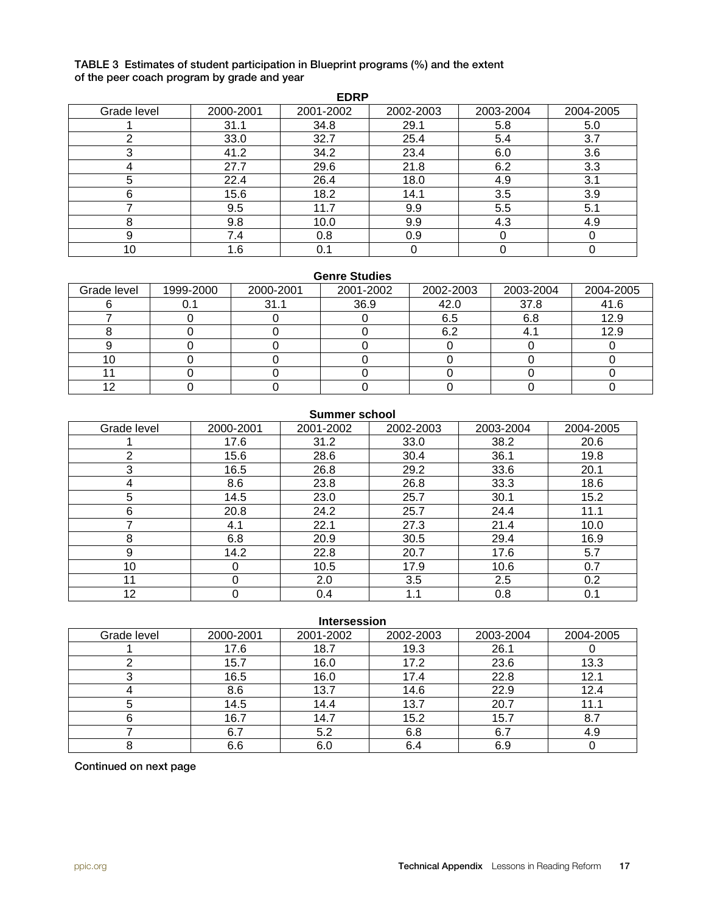#### TABLE 3 Estimates of student participation in Blueprint programs (%) and the extent of the peer coach program by grade and year

|             | <b>EDRP</b> |           |           |           |           |  |  |  |  |
|-------------|-------------|-----------|-----------|-----------|-----------|--|--|--|--|
| Grade level | 2000-2001   | 2001-2002 | 2002-2003 | 2003-2004 | 2004-2005 |  |  |  |  |
|             | 31.1        | 34.8      | 29.1      | 5.8       | 5.0       |  |  |  |  |
| ◠           | 33.0        | 32.7      | 25.4      | 5.4       | 3.7       |  |  |  |  |
| 3           | 41.2        | 34.2      | 23.4      | 6.0       | 3.6       |  |  |  |  |
|             | 27.7        | 29.6      | 21.8      | 6.2       | 3.3       |  |  |  |  |
| 5           | 22.4        | 26.4      | 18.0      | 4.9       | 3.1       |  |  |  |  |
| 6           | 15.6        | 18.2      | 14.1      | 3.5       | 3.9       |  |  |  |  |
|             | 9.5         | 11.7      | 9.9       | 5.5       | 5.1       |  |  |  |  |
| 8           | 9.8         | 10.0      | 9.9       | 4.3       | 4.9       |  |  |  |  |
| 9           | 7.4         | 0.8       | 0.9       |           |           |  |  |  |  |
| 10          | 1.6         | 0.1       |           |           |           |  |  |  |  |

#### **Genre Studies**

| Grade level | 1999-2000 | 2000-2001 | 2001-2002 | 2002-2003 | 2003-2004 | 2004-2005 |
|-------------|-----------|-----------|-----------|-----------|-----------|-----------|
|             |           | 31.1      | 36.9      | 42.0      | 37.8      | 41.6      |
|             |           |           |           | 6.5       | 6.8       | 12.9      |
|             |           |           |           | 6.2       |           | 12.9      |
|             |           |           |           |           |           |           |
|             |           |           |           |           |           |           |
|             |           |           |           |           |           |           |
|             |           |           |           |           |           |           |

|             | Summer school |           |           |           |           |  |  |  |  |
|-------------|---------------|-----------|-----------|-----------|-----------|--|--|--|--|
| Grade level | 2000-2001     | 2001-2002 | 2002-2003 | 2003-2004 | 2004-2005 |  |  |  |  |
|             | 17.6          | 31.2      | 33.0      | 38.2      | 20.6      |  |  |  |  |
| 2           | 15.6          | 28.6      | 30.4      | 36.1      | 19.8      |  |  |  |  |
| 3           | 16.5          | 26.8      | 29.2      | 33.6      | 20.1      |  |  |  |  |
| 4           | 8.6           | 23.8      | 26.8      | 33.3      | 18.6      |  |  |  |  |
| 5           | 14.5          | 23.0      | 25.7      | 30.1      | 15.2      |  |  |  |  |
| 6           | 20.8          | 24.2      | 25.7      | 24.4      | 11.1      |  |  |  |  |
|             | 4.1           | 22.1      | 27.3      | 21.4      | 10.0      |  |  |  |  |
| 8           | 6.8           | 20.9      | 30.5      | 29.4      | 16.9      |  |  |  |  |
| 9           | 14.2          | 22.8      | 20.7      | 17.6      | 5.7       |  |  |  |  |
| 10          | 0             | 10.5      | 17.9      | 10.6      | 0.7       |  |  |  |  |
| 11          | 0             | 2.0       | 3.5       | 2.5       | 0.2       |  |  |  |  |
| 12          | 0             | 0.4       | 1.1       | 0.8       | 0.1       |  |  |  |  |

#### **Intersession**

| Grade level | 2000-2001 | 2001-2002 | 2002-2003 | 2003-2004 | 2004-2005 |
|-------------|-----------|-----------|-----------|-----------|-----------|
|             | 17.6      | 18.7      | 19.3      | 26.1      |           |
|             | 15.7      | 16.0      | 17.2      | 23.6      | 13.3      |
|             | 16.5      | 16.0      | 17.4      | 22.8      | 12.1      |
|             | 8.6       | 13.7      | 14.6      | 22.9      | 12.4      |
|             | 14.5      | 14.4      | 13.7      | 20.7      | 11.1      |
|             | 16.7      | 14.7      | 15.2      | 15.7      | 8.7       |
|             | 6.7       | 5.2       | 6.8       | 6.7       | 4.9       |
|             | 6.6       | 6.0       | 6.4       | 6.9       |           |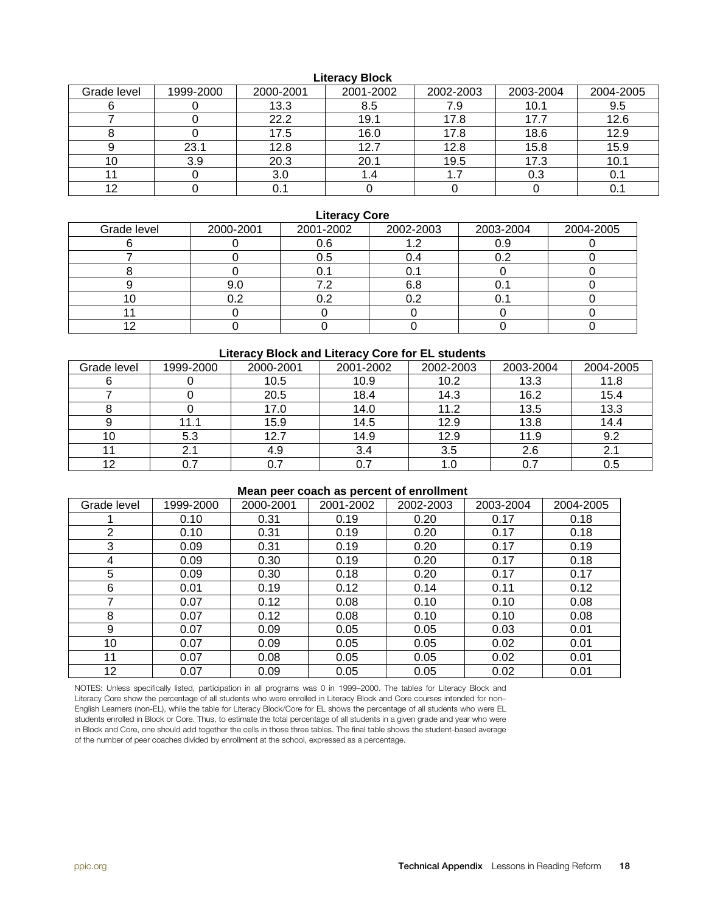#### **Literacy Block**

| Grade level | 1999-2000 | 2000-2001 | 2001-2002 | 2002-2003 | 2003-2004 | 2004-2005 |
|-------------|-----------|-----------|-----------|-----------|-----------|-----------|
|             |           | 13.3      | 8.5       | 7.9       | 10.1      | 9.5       |
|             |           | 22.2      | 19.1      | 17.8      |           | 12.6      |
|             |           | 17.5      | 16.0      | 17.8      | 18.6      | 12.9      |
|             | 23.1      | 12.8      | 12.7      | 12.8      | 15.8      | 15.9      |
|             | 3.9       | 20.3      | 20.1      | 19.5      | 17.3      | 10.1      |
|             |           | 3.0       | 1.4       | .         | 0.3       | 0.1       |
|             |           | ∪. ∣      |           |           |           | υ.        |

#### **Literacy Core**

| Grade level | 2000-2001 | 2001-2002 | 2002-2003 | 2003-2004 | 2004-2005 |
|-------------|-----------|-----------|-----------|-----------|-----------|
|             |           | 0.6       |           | 0.9       |           |
|             |           | 0.5       |           |           |           |
|             |           |           |           |           |           |
|             | 9.0       |           |           |           |           |
|             | ר ו       |           |           |           |           |
|             |           |           |           |           |           |
| ⌒           |           |           |           |           |           |

#### **Literacy Block and Literacy Core for EL students**

| Grade level | 1999-2000 | 2000-2001 | 2001-2002 | 2002-2003 | 2003-2004 | 2004-2005 |
|-------------|-----------|-----------|-----------|-----------|-----------|-----------|
|             |           | 10.5      | 10.9      | 10.2      | 13.3      | 11.8      |
|             |           | 20.5      | 18.4      | 14.3      | 16.2      | 15.4      |
|             |           | 17.0      | 14.0      | 11.2      | 13.5      | 13.3      |
|             | 11.1      | 15.9      | 14.5      | 12.9      | 13.8      | 14.4      |
| 10          | 5.3       | 12.7      | 14.9      | 12.9      | 11.9      | 9.2       |
|             | ົ         | 4.9       | 3.4       | 3.5       | 2.6       | 21        |
| 12          |           | 0.7       |           |           |           | 0.5       |

#### **Mean peer coach as percent of enrollment**

| Grade level | 1999-2000 | 2000-2001 | 2001-2002 | 2002-2003 | 2003-2004 | 2004-2005 |
|-------------|-----------|-----------|-----------|-----------|-----------|-----------|
|             | 0.10      | 0.31      | 0.19      | 0.20      | 0.17      | 0.18      |
| 2           | 0.10      | 0.31      | 0.19      | 0.20      | 0.17      | 0.18      |
| 3           | 0.09      | 0.31      | 0.19      | 0.20      | 0.17      | 0.19      |
| 4           | 0.09      | 0.30      | 0.19      | 0.20      | 0.17      | 0.18      |
| 5           | 0.09      | 0.30      | 0.18      | 0.20      | 0.17      | 0.17      |
| 6           | 0.01      | 0.19      | 0.12      | 0.14      | 0.11      | 0.12      |
|             | 0.07      | 0.12      | 0.08      | 0.10      | 0.10      | 0.08      |
| 8           | 0.07      | 0.12      | 0.08      | 0.10      | 0.10      | 0.08      |
| 9           | 0.07      | 0.09      | 0.05      | 0.05      | 0.03      | 0.01      |
| 10          | 0.07      | 0.09      | 0.05      | 0.05      | 0.02      | 0.01      |
| 11          | 0.07      | 0.08      | 0.05      | 0.05      | 0.02      | 0.01      |
| 12          | 0.07      | 0.09      | 0.05      | 0.05      | 0.02      | 0.01      |

NOTES: Unless specifically listed, participation in all programs was 0 in 1999–2000. The tables for Literacy Block and Literacy Core show the percentage of all students who were enrolled in Literacy Block and Core courses intended for non– English Learners (non-EL), while the table for Literacy Block/Core for EL shows the percentage of all students who were EL students enrolled in Block or Core. Thus, to estimate the total percentage of all students in a given grade and year who were in Block and Core, one should add together the cells in those three tables. The final table shows the student-based average of the number of peer coaches divided by enrollment at the school, expressed as a percentage.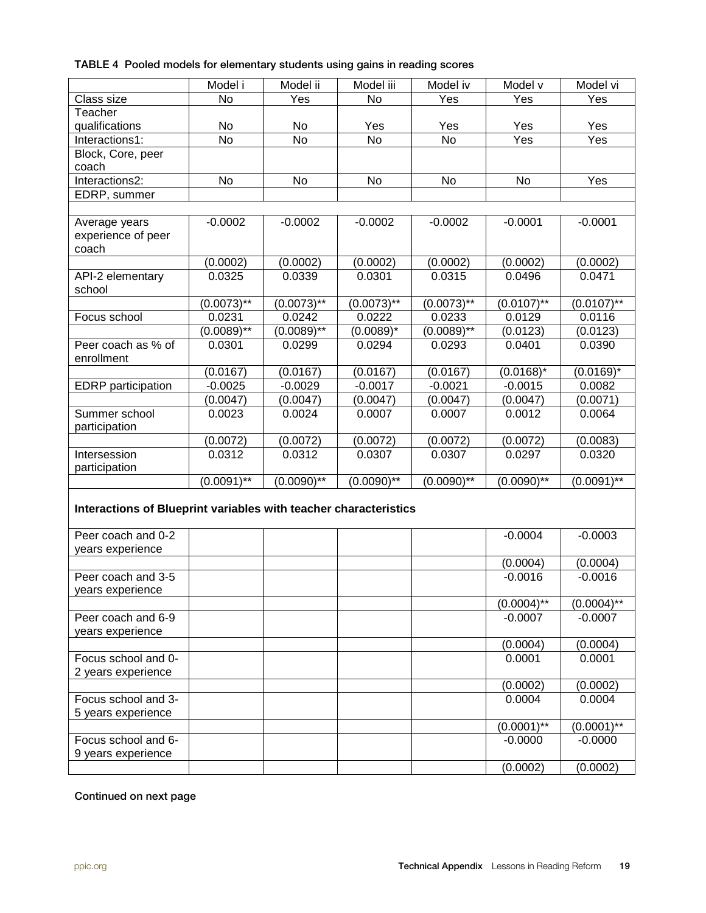|  |  |  | TABLE 4 Pooled models for elementary students using gains in reading scores |  |  |  |  |  |
|--|--|--|-----------------------------------------------------------------------------|--|--|--|--|--|
|--|--|--|-----------------------------------------------------------------------------|--|--|--|--|--|

|                                                                  | Model i       | Model ii        | Model iii                  | Model iv                   | Model v         | Model vi      |
|------------------------------------------------------------------|---------------|-----------------|----------------------------|----------------------------|-----------------|---------------|
| Class size                                                       | <b>No</b>     | Yes             | <b>No</b>                  | Yes                        | Yes             | Yes           |
| Teacher                                                          |               |                 |                            |                            |                 |               |
| qualifications                                                   | No            | No              | Yes                        | Yes                        | Yes             | Yes           |
| Interactions1:                                                   | <b>No</b>     | <b>No</b>       | <b>No</b>                  | <b>No</b>                  | Yes             | Yes           |
| Block, Core, peer                                                |               |                 |                            |                            |                 |               |
| coach                                                            |               |                 |                            |                            |                 |               |
| Interactions2:                                                   | No            | No              | No                         | No                         | No              | Yes           |
| EDRP, summer                                                     |               |                 |                            |                            |                 |               |
|                                                                  |               |                 |                            |                            |                 |               |
| Average years                                                    | $-0.0002$     | $-0.0002$       | $-0.0002$                  | $-0.0002$                  | $-0.0001$       | $-0.0001$     |
| experience of peer                                               |               |                 |                            |                            |                 |               |
| coach                                                            |               |                 |                            |                            |                 |               |
|                                                                  | (0.0002)      | (0.0002)        | (0.0002)                   | (0.0002)                   | (0.0002)        | (0.0002)      |
| API-2 elementary                                                 | 0.0325        | 0.0339          | 0.0301                     | 0.0315                     | 0.0496          | 0.0471        |
| school                                                           |               |                 |                            |                            |                 |               |
|                                                                  | $(0.0073)$ ** | $(0.0073)$ **   | $(0.0073)$ **              | $(0.0073)$ **              | $(0.0107)^{**}$ | $(0.0107)$ ** |
| Focus school                                                     | 0.0231        | 0.0242          | 0.0222                     | 0.0233                     | 0.0129          | 0.0116        |
|                                                                  | $(0.0089)$ ** | $(0.0089)^{**}$ | $(0.0089)^*$               | $(0.0089)$ **              | (0.0123)        | (0.0123)      |
| Peer coach as % of                                               | 0.0301        | 0.0299          | 0.0294                     | 0.0293                     | 0.0401          | 0.0390        |
| enrollment                                                       |               |                 |                            |                            |                 |               |
|                                                                  | (0.0167)      | (0.0167)        | (0.0167)                   | (0.0167)                   | $(0.0168)^{*}$  | $(0.0169)^*$  |
| <b>EDRP</b> participation                                        | $-0.0025$     | $-0.0029$       | $-0.0017$                  | $-0.0021$                  | $-0.0015$       | 0.0082        |
|                                                                  | (0.0047)      | (0.0047)        | (0.0047)                   | (0.0047)                   | (0.0047)        | (0.0071)      |
| Summer school                                                    | 0.0023        | 0.0024          | 0.0007                     | 0.0007                     | 0.0012          | 0.0064        |
| participation                                                    |               |                 |                            |                            |                 |               |
|                                                                  | (0.0072)      | (0.0072)        | (0.0072)                   | (0.0072)                   | (0.0072)        | (0.0083)      |
| Intersession                                                     | 0.0312        | 0.0312          | 0.0307                     | 0.0307                     | 0.0297          | 0.0320        |
| participation                                                    |               |                 |                            |                            |                 |               |
|                                                                  | $(0.0091)$ ** | $(0.0090)$ **   | $(0.00\overline{90})^{**}$ | $(0.00\overline{90})^{**}$ | $(0.0090)$ **   | $(0.0091)$ ** |
| Interactions of Blueprint variables with teacher characteristics |               |                 |                            |                            |                 |               |
|                                                                  |               |                 |                            |                            |                 |               |
| Peer coach and 0-2                                               |               |                 |                            |                            | $-0.0004$       | $-0.0003$     |
| years experience                                                 |               |                 |                            |                            |                 |               |
|                                                                  |               |                 |                            |                            | (0.0004)        | (0.0004)      |
| Peer coach and 3-5                                               |               |                 |                            |                            | $-0.0016$       | $-0.0016$     |
| years experience                                                 |               |                 |                            |                            |                 |               |
|                                                                  |               |                 |                            |                            | $(0.0004)$ **   | $(0.0004)$ ** |
| Peer coach and 6-9                                               |               |                 |                            |                            | $-0.0007$       | $-0.0007$     |
| years experience                                                 |               |                 |                            |                            |                 |               |
|                                                                  |               |                 |                            |                            | (0.0004)        | (0.0004)      |
| Focus school and 0-                                              |               |                 |                            |                            | 0.0001          | 0.0001        |
| 2 years experience                                               |               |                 |                            |                            |                 |               |
|                                                                  |               |                 |                            |                            | (0.0002)        | (0.0002)      |
| Focus school and 3-                                              |               |                 |                            |                            | 0.0004          | 0.0004        |
| 5 years experience                                               |               |                 |                            |                            |                 |               |
|                                                                  |               |                 |                            |                            | $(0.0001)$ **   | $(0.0001)$ ** |
| Focus school and 6-                                              |               |                 |                            |                            | $-0.0000$       | $-0.0000$     |
| 9 years experience                                               |               |                 |                            |                            |                 |               |
|                                                                  |               |                 |                            |                            | (0.0002)        | (0.0002)      |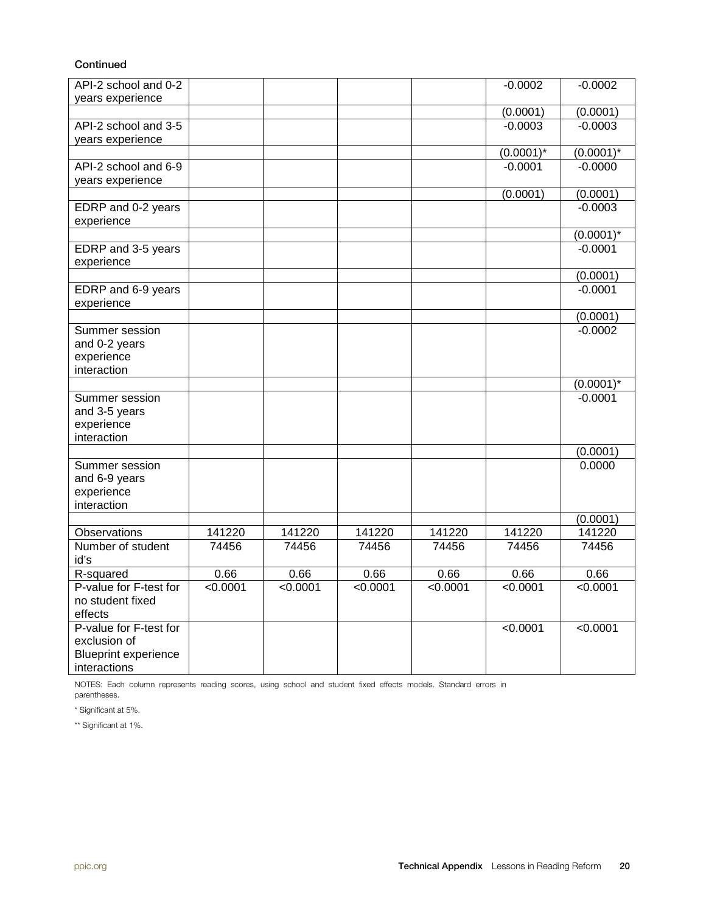#### **Continued**

| API-2 school and 0-2<br>years experience |          |          |          |          | $-0.0002$    | $-0.0002$    |
|------------------------------------------|----------|----------|----------|----------|--------------|--------------|
|                                          |          |          |          |          | (0.0001)     | (0.0001)     |
| API-2 school and 3-5                     |          |          |          |          | $-0.0003$    | $-0.0003$    |
| years experience                         |          |          |          |          |              |              |
|                                          |          |          |          |          | $(0.0001)^*$ | $(0.0001)^*$ |
| API-2 school and 6-9                     |          |          |          |          | $-0.0001$    | $-0.0000$    |
| years experience                         |          |          |          |          |              |              |
|                                          |          |          |          |          | (0.0001)     | (0.0001)     |
| EDRP and 0-2 years                       |          |          |          |          |              | $-0.0003$    |
| experience                               |          |          |          |          |              |              |
|                                          |          |          |          |          |              | $(0.0001)^*$ |
| EDRP and 3-5 years                       |          |          |          |          |              | $-0.0001$    |
| experience                               |          |          |          |          |              |              |
|                                          |          |          |          |          |              | (0.0001)     |
| EDRP and 6-9 years                       |          |          |          |          |              | $-0.0001$    |
| experience                               |          |          |          |          |              |              |
|                                          |          |          |          |          |              | (0.0001)     |
| Summer session                           |          |          |          |          |              | $-0.0002$    |
| and 0-2 years                            |          |          |          |          |              |              |
| experience                               |          |          |          |          |              |              |
| interaction                              |          |          |          |          |              |              |
|                                          |          |          |          |          |              | $(0.0001)^*$ |
| Summer session                           |          |          |          |          |              | $-0.0001$    |
| and 3-5 years                            |          |          |          |          |              |              |
| experience                               |          |          |          |          |              |              |
| interaction                              |          |          |          |          |              |              |
|                                          |          |          |          |          |              | (0.0001)     |
| Summer session                           |          |          |          |          |              | 0.0000       |
| and 6-9 years                            |          |          |          |          |              |              |
| experience                               |          |          |          |          |              |              |
| interaction                              |          |          |          |          |              |              |
|                                          |          |          |          |          |              | (0.0001)     |
| Observations                             | 141220   | 141220   | 141220   | 141220   | 141220       | 141220       |
| Number of student                        | 74456    | 74456    | 74456    | 74456    | 74456        | 74456        |
| id's                                     | 0.66     | 0.66     | 0.66     | 0.66     | 0.66         | 0.66         |
| R-squared<br>P-value for F-test for      | < 0.0001 | < 0.0001 | < 0.0001 | < 0.0001 | < 0.0001     | < 0.0001     |
| no student fixed                         |          |          |          |          |              |              |
| effects                                  |          |          |          |          |              |              |
| P-value for F-test for                   |          |          |          |          | < 0.0001     | < 0.0001     |
| exclusion of                             |          |          |          |          |              |              |
| <b>Blueprint experience</b>              |          |          |          |          |              |              |
| interactions                             |          |          |          |          |              |              |
|                                          |          |          |          |          |              |              |

NOTES: Each column represents reading scores, using school and student fixed effects models. Standard errors in parentheses.

\* Significant at 5%.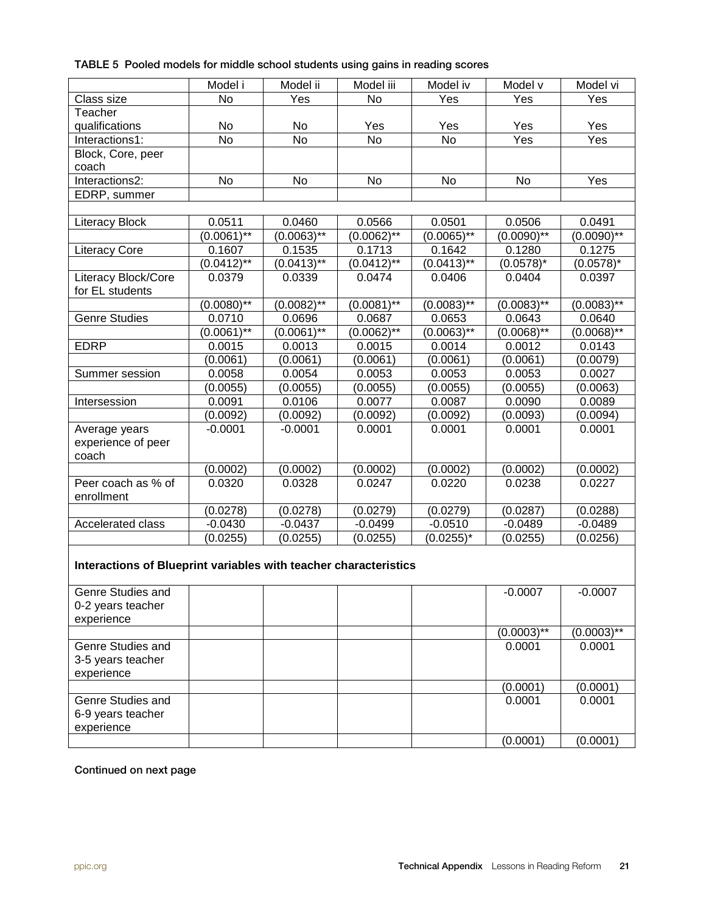|  |  |  |  |  | TABLE 5 Pooled models for middle school students using gains in reading scores |
|--|--|--|--|--|--------------------------------------------------------------------------------|
|--|--|--|--|--|--------------------------------------------------------------------------------|

|                                                                  | Model i         | Model ii      | Model iii     | Model iv       | Model v       | Model vi      |
|------------------------------------------------------------------|-----------------|---------------|---------------|----------------|---------------|---------------|
| Class size                                                       | <b>No</b>       | Yes           | No            | Yes            | Yes           | Yes           |
| Teacher                                                          |                 |               |               |                |               |               |
| qualifications                                                   | No              | No            | Yes           | Yes            | Yes           | Yes           |
| Interactions1:                                                   | <b>No</b>       | <b>No</b>     | <b>No</b>     | $\overline{N}$ | Yes           | Yes           |
| Block, Core, peer                                                |                 |               |               |                |               |               |
| coach                                                            |                 |               |               |                |               |               |
| Interactions2:                                                   | <b>No</b>       | No.           | No            | No             | No            | Yes           |
| EDRP, summer                                                     |                 |               |               |                |               |               |
|                                                                  |                 |               |               |                |               |               |
| <b>Literacy Block</b>                                            | 0.0511          | 0.0460        | 0.0566        | 0.0501         | 0.0506        | 0.0491        |
|                                                                  | $(0.0061)^{**}$ | $(0.0063)$ ** | $(0.0062)$ ** | $(0.0065)$ **  | $(0.0090)$ ** | $(0.0090)$ ** |
| <b>Literacy Core</b>                                             | 0.1607          | 0.1535        | 0.1713        | 0.1642         | 0.1280        | 0.1275        |
|                                                                  | $(0.0412)$ **   | $(0.0413)$ ** | $(0.0412)$ ** | $(0.0413)$ **  | $(0.0578)^*$  | $(0.0578)^*$  |
| Literacy Block/Core<br>for EL students                           | 0.0379          | 0.0339        | 0.0474        | 0.0406         | 0.0404        | 0.0397        |
|                                                                  | $(0.0080)$ **   | $(0.0082)$ ** | $(0.0081)$ ** | $(0.0083)$ **  | $(0.0083)$ ** | $(0.0083)$ ** |
| Genre Studies                                                    | 0.0710          | 0.0696        | 0.0687        | 0.0653         | 0.0643        | 0.0640        |
|                                                                  | $(0.0061)$ **   | $(0.0061)$ ** | $(0.0062)$ ** | $(0.0063)$ **  | $(0.0068)$ ** | $(0.0068)$ ** |
| <b>EDRP</b>                                                      | 0.0015          | 0.0013        | 0.0015        | 0.0014         | 0.0012        | 0.0143        |
|                                                                  | (0.0061)        | (0.0061)      | (0.0061)      | (0.0061)       | (0.0061)      | (0.0079)      |
| Summer session                                                   | 0.0058          | 0.0054        | 0.0053        | 0.0053         | 0.0053        | 0.0027        |
|                                                                  | (0.0055)        | (0.0055)      | (0.0055)      | (0.0055)       | (0.0055)      | (0.0063)      |
| Intersession                                                     | 0.0091          | 0.0106        | 0.0077        | 0.0087         | 0.0090        | 0.0089        |
|                                                                  | (0.0092)        | (0.0092)      | (0.0092)      | (0.0092)       | (0.0093)      | (0.0094)      |
| Average years<br>experience of peer<br>coach                     | $-0.0001$       | $-0.0001$     | 0.0001        | 0.0001         | 0.0001        | 0.0001        |
|                                                                  | (0.0002)        | (0.0002)      | (0.0002)      | (0.0002)       | (0.0002)      | (0.0002)      |
| Peer coach as % of<br>enrollment                                 | 0.0320          | 0.0328        | 0.0247        | 0.0220         | 0.0238        | 0.0227        |
|                                                                  | (0.0278)        | (0.0278)      | (0.0279)      | (0.0279)       | (0.0287)      | (0.0288)      |
| Accelerated class                                                | $-0.0430$       | $-0.0437$     | $-0.0499$     | $-0.0510$      | $-0.0489$     | $-0.0489$     |
|                                                                  | (0.0255)        | (0.0255)      | (0.0255)      | $(0.0255)^*$   | (0.0255)      | (0.0256)      |
| Interactions of Blueprint variables with teacher characteristics |                 |               |               |                |               |               |
| Genre Studies and<br>0-2 years teacher<br>experience             |                 |               |               |                | $-0.0007$     | $-0.0007$     |
|                                                                  |                 |               |               |                | $(0.0003)$ ** | $(0.0003)$ ** |
| Genre Studies and<br>3-5 years teacher<br>experience             |                 |               |               |                | 0.0001        | 0.0001        |
|                                                                  |                 |               |               |                | (0.0001)      | (0.0001)      |
| Genre Studies and<br>6-9 years teacher<br>experience             |                 |               |               |                | 0.0001        | 0.0001        |
|                                                                  |                 |               |               |                | (0.0001)      | (0.0001)      |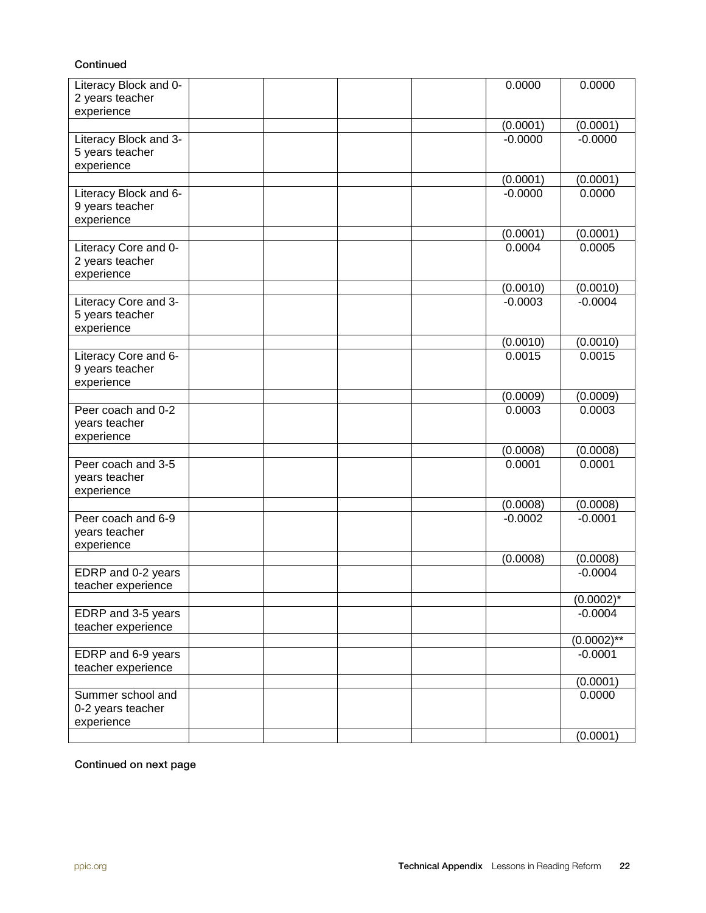#### Continued

| Literacy Block and 0-                                  |  |  | 0.0000    | 0.0000          |
|--------------------------------------------------------|--|--|-----------|-----------------|
| 2 years teacher                                        |  |  |           |                 |
| experience                                             |  |  | (0.0001)  | (0.0001)        |
| Literacy Block and 3-                                  |  |  | $-0.0000$ | $-0.0000$       |
| 5 years teacher<br>experience                          |  |  |           |                 |
|                                                        |  |  | (0.0001)  | (0.0001)        |
| Literacy Block and 6-<br>9 years teacher<br>experience |  |  | $-0.0000$ | 0.0000          |
|                                                        |  |  | (0.0001)  | (0.0001)        |
| Literacy Core and 0-<br>2 years teacher<br>experience  |  |  | 0.0004    | 0.0005          |
|                                                        |  |  | (0.0010)  | (0.0010)        |
| Literacy Core and 3-<br>5 years teacher<br>experience  |  |  | $-0.0003$ | $-0.0004$       |
|                                                        |  |  | (0.0010)  | (0.0010)        |
| Literacy Core and 6-<br>9 years teacher<br>experience  |  |  | 0.0015    | 0.0015          |
|                                                        |  |  | (0.0009)  | (0.0009)        |
| Peer coach and 0-2<br>years teacher<br>experience      |  |  | 0.0003    | 0.0003          |
|                                                        |  |  | (0.0008)  | (0.0008)        |
| Peer coach and 3-5<br>years teacher<br>experience      |  |  | 0.0001    | 0.0001          |
|                                                        |  |  | (0.0008)  | (0.0008)        |
| Peer coach and 6-9<br>years teacher<br>experience      |  |  | $-0.0002$ | $-0.0001$       |
|                                                        |  |  | (0.0008)  | (0.0008)        |
| EDRP and 0-2 years<br>teacher experience               |  |  |           | $-0.0004$       |
|                                                        |  |  |           | $(0.0002)^*$    |
| EDRP and 3-5 years<br>teacher experience               |  |  |           | $-0.0004$       |
|                                                        |  |  |           | $(0.0002)^{**}$ |
| EDRP and 6-9 years<br>teacher experience               |  |  |           | $-0.0001$       |
|                                                        |  |  |           | (0.0001)        |
| Summer school and<br>0-2 years teacher<br>experience   |  |  |           | 0.0000          |
|                                                        |  |  |           | (0.0001)        |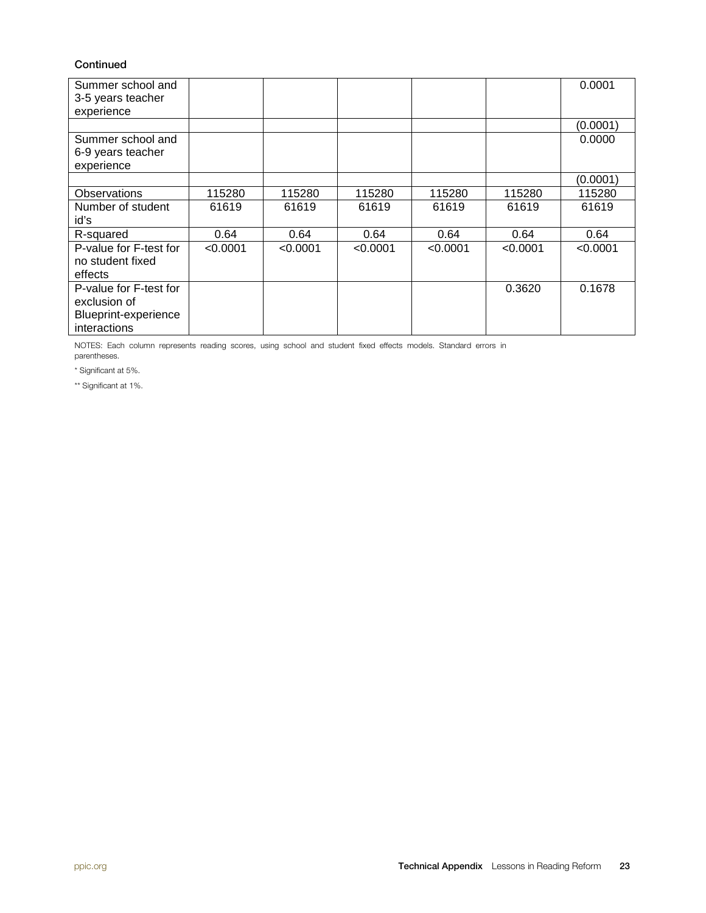#### **Continued**

| Summer school and<br>3-5 years teacher<br>experience                           |          |          |          |          |          | 0.0001   |
|--------------------------------------------------------------------------------|----------|----------|----------|----------|----------|----------|
|                                                                                |          |          |          |          |          | (0.0001) |
| Summer school and<br>6-9 years teacher<br>experience                           |          |          |          |          |          | 0.0000   |
|                                                                                |          |          |          |          |          | (0.0001) |
| Observations                                                                   | 115280   | 115280   | 115280   | 115280   | 115280   | 115280   |
| Number of student<br>id's                                                      | 61619    | 61619    | 61619    | 61619    | 61619    | 61619    |
| R-squared                                                                      | 0.64     | 0.64     | 0.64     | 0.64     | 0.64     | 0.64     |
| P-value for F-test for<br>no student fixed<br>effects                          | < 0.0001 | < 0.0001 | < 0.0001 | < 0.0001 | < 0.0001 | < 0.0001 |
| P-value for F-test for<br>exclusion of<br>Blueprint-experience<br>interactions |          |          |          |          | 0.3620   | 0.1678   |

NOTES: Each column represents reading scores, using school and student fixed effects models. Standard errors in parentheses.

\* Significant at 5%.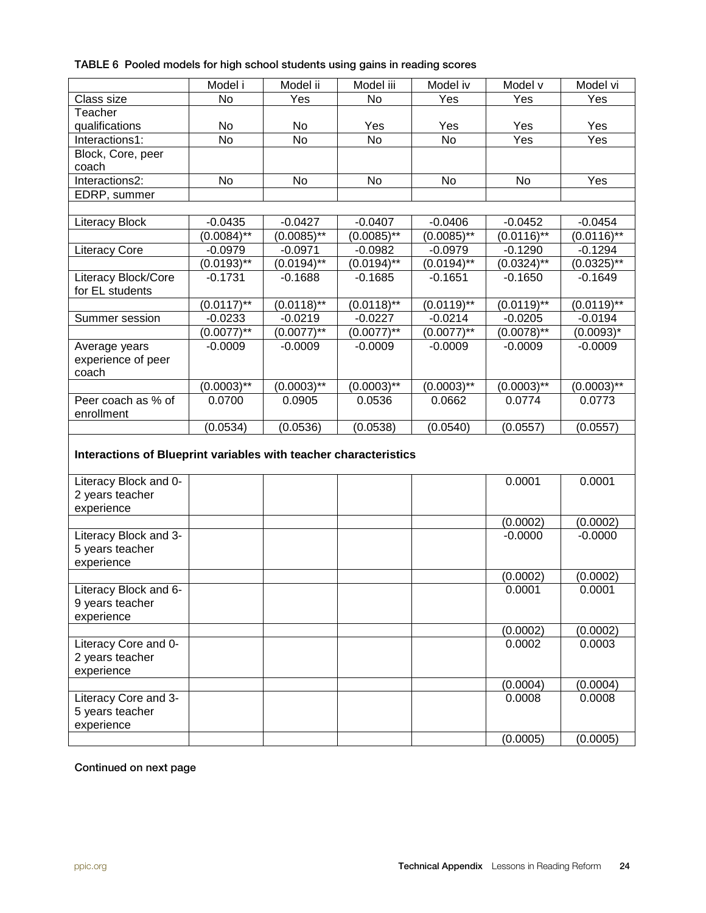|  |  |  |  |  |  |  |  |  | TABLE 6 Pooled models for high school students using gains in reading scores |
|--|--|--|--|--|--|--|--|--|------------------------------------------------------------------------------|
|--|--|--|--|--|--|--|--|--|------------------------------------------------------------------------------|

|                                                                  | Model i       | Model ii      | Model iii        | Model iv        | Model v       | Model vi      |
|------------------------------------------------------------------|---------------|---------------|------------------|-----------------|---------------|---------------|
| Class size                                                       | No            | Yes           | <b>No</b>        | Yes             | Yes           | Yes           |
| Teacher                                                          |               |               |                  |                 |               |               |
| qualifications                                                   | No            | No            | Yes              | Yes             | Yes           | Yes           |
| Interactions1:                                                   | <b>No</b>     | <b>No</b>     | <b>No</b>        | <b>No</b>       | Yes           | Yes           |
| Block, Core, peer<br>coach                                       |               |               |                  |                 |               |               |
| Interactions2:                                                   | No            | No            | No               | No              | No            | Yes           |
| EDRP, summer                                                     |               |               |                  |                 |               |               |
|                                                                  |               |               |                  |                 |               |               |
| <b>Literacy Block</b>                                            | $-0.0435$     | $-0.0427$     | $-0.0407$        | $-0.0406$       | $-0.0452$     | $-0.0454$     |
|                                                                  | $(0.0084)$ ** | $(0.0085)$ ** | $(0.0085)$ **    | $(0.0085)$ **   | $(0.0116)$ ** | $(0.0116)$ ** |
| <b>Literacy Core</b>                                             | $-0.0979$     | $-0.0971$     | $-0.0982$        | $-0.0979$       | $-0.1290$     | $-0.1294$     |
|                                                                  | $(0.0193)$ ** | $(0.0194)$ ** | $(0.0194)^{1/8}$ | $(0.0194)$ **   | $(0.0324)$ ** | $(0.0325)$ ** |
| Literacy Block/Core<br>for EL students                           | $-0.1731$     | $-0.1688$     | $-0.1685$        | $-0.1651$       | $-0.1650$     | $-0.1649$     |
|                                                                  | $(0.0117)$ ** | $(0.0118)$ ** | $(0.0118)^{1/8}$ | $(0.0119)$ **   | $(0.0119)$ ** | $(0.0119)$ ** |
| Summer session                                                   | $-0.0233$     | $-0.0219$     | $-0.0227$        | $-0.0214$       | $-0.0205$     | $-0.0194$     |
|                                                                  | $(0.0077**$   | $(0.0077)$ ** | $(0.0077)^{**}$  | $(0.0077)^{**}$ | $(0.0078)$ ** | $(0.0093)^*$  |
| Average years                                                    | $-0.0009$     | $-0.0009$     | $-0.0009$        | $-0.0009$       | $-0.0009$     | $-0.0009$     |
| experience of peer<br>coach                                      |               |               |                  |                 |               |               |
|                                                                  | $(0.0003)$ ** | $(0.0003)$ ** | $(0.0003)$ **    | $(0.0003)$ **   | $(0.0003)$ ** | $(0.0003)$ ** |
| Peer coach as % of<br>enrollment                                 | 0.0700        | 0.0905        | 0.0536           | 0.0662          | 0.0774        | 0.0773        |
|                                                                  | (0.0534)      | (0.0536)      | (0.0538)         | (0.0540)        | (0.0557)      | (0.0557)      |
| Interactions of Blueprint variables with teacher characteristics |               |               |                  |                 |               |               |
| Literacy Block and 0-<br>2 years teacher<br>experience           |               |               |                  |                 | 0.0001        | 0.0001        |
|                                                                  |               |               |                  |                 | (0.0002)      | (0.0002)      |
| Literacy Block and 3-<br>5 years teacher<br>experience           |               |               |                  |                 | $-0.0000$     | $-0.0000$     |
|                                                                  |               |               |                  |                 | (0.0002)      | (0.0002)      |
| Literacy Block and 6-<br>9 years teacher<br>experience           |               |               |                  |                 | 0.0001        | 0.0001        |
|                                                                  |               |               |                  |                 | (0.0002)      | (0.0002)      |
| Literacy Core and 0-<br>2 years teacher<br>experience            |               |               |                  |                 | 0.0002        | 0.0003        |
|                                                                  |               |               |                  |                 | (0.0004)      | (0.0004)      |
| Literacy Core and 3-<br>5 years teacher<br>experience            |               |               |                  |                 | 0.0008        | 0.0008        |
|                                                                  |               |               |                  |                 | (0.0005)      | (0.0005)      |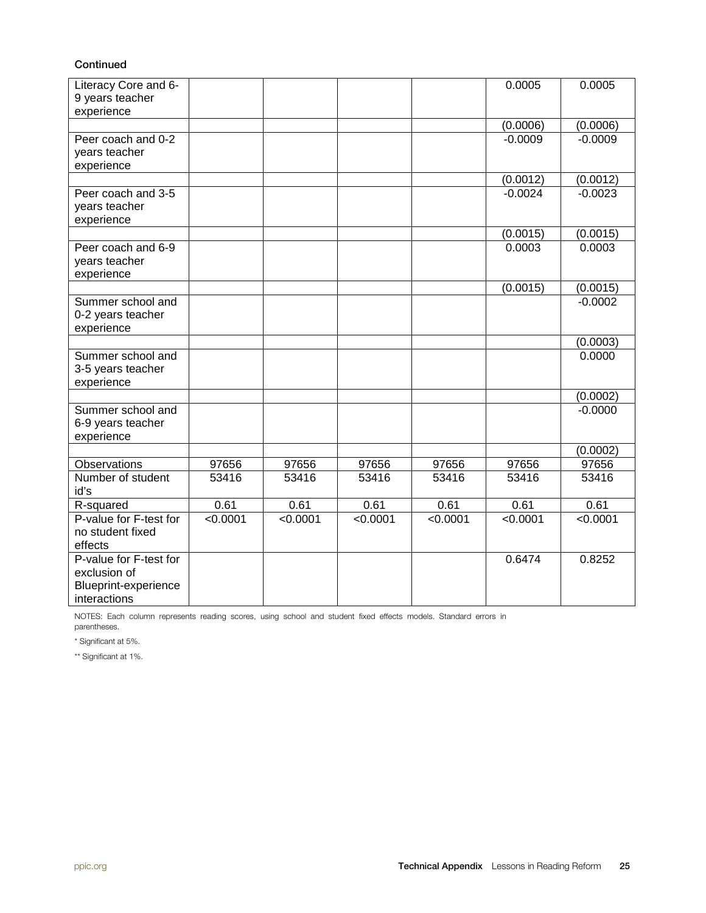#### **Continued**

| Literacy Core and 6-<br>9 years teacher<br>experience                          |          |          |          |          | 0.0005    | 0.0005    |
|--------------------------------------------------------------------------------|----------|----------|----------|----------|-----------|-----------|
|                                                                                |          |          |          |          | (0.0006)  | (0.0006)  |
| Peer coach and 0-2<br>years teacher<br>experience                              |          |          |          |          | $-0.0009$ | $-0.0009$ |
|                                                                                |          |          |          |          | (0.0012)  | (0.0012)  |
| Peer coach and 3-5<br>years teacher<br>experience                              |          |          |          |          | $-0.0024$ | $-0.0023$ |
|                                                                                |          |          |          |          | (0.0015)  | (0.0015)  |
| Peer coach and 6-9<br>years teacher<br>experience                              |          |          |          |          | 0.0003    | 0.0003    |
|                                                                                |          |          |          |          | (0.0015)  | (0.0015)  |
| Summer school and<br>0-2 years teacher<br>experience                           |          |          |          |          |           | $-0.0002$ |
|                                                                                |          |          |          |          |           | (0.0003)  |
| Summer school and<br>3-5 years teacher<br>experience                           |          |          |          |          |           | 0.0000    |
|                                                                                |          |          |          |          |           | (0.0002)  |
| Summer school and<br>6-9 years teacher<br>experience                           |          |          |          |          |           | $-0.0000$ |
|                                                                                |          |          |          |          |           | (0.0002)  |
| <b>Observations</b>                                                            | 97656    | 97656    | 97656    | 97656    | 97656     | 97656     |
| Number of student<br>id's                                                      | 53416    | 53416    | 53416    | 53416    | 53416     | 53416     |
| R-squared                                                                      | 0.61     | 0.61     | 0.61     | 0.61     | 0.61      | 0.61      |
| P-value for F-test for<br>no student fixed<br>effects                          | < 0.0001 | < 0.0001 | < 0.0001 | < 0.0001 | < 0.0001  | < 0.0001  |
| P-value for F-test for<br>exclusion of<br>Blueprint-experience<br>interactions |          |          |          |          | 0.6474    | 0.8252    |

NOTES: Each column represents reading scores, using school and student fixed effects models. Standard errors in parentheses.

\* Significant at 5%.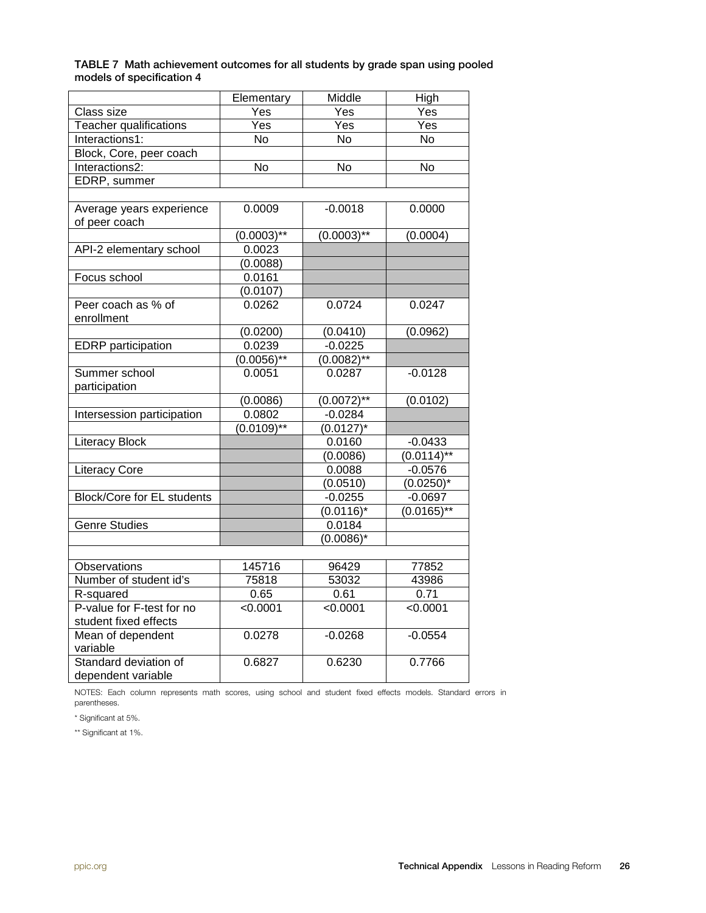| TABLE 7 Math achievement outcomes for all students by grade span using pooled |  |  |
|-------------------------------------------------------------------------------|--|--|
| models of specification 4                                                     |  |  |

|                                   | Elementary     | Middle             | High           |
|-----------------------------------|----------------|--------------------|----------------|
| Class size                        | Yes            | Yes                | Yes            |
| Teacher qualifications            | Yes            | Yes                | Yes            |
| Interactions1:                    | <b>No</b>      | $\overline{N_{0}}$ | <b>No</b>      |
| Block, Core, peer coach           |                |                    |                |
| Interactions2:                    | $\overline{N}$ | $\overline{N}$     | $\overline{N}$ |
| EDRP, summer                      |                |                    |                |
|                                   |                |                    |                |
| Average years experience          | 0.0009         | $-0.0018$          | 0.0000         |
| of peer coach                     |                |                    |                |
|                                   | $(0.0003)$ **  | $(0.0003)$ **      | (0.0004)       |
| API-2 elementary school           | 0.0023         |                    |                |
|                                   | (0.0088)       |                    |                |
| Focus school                      | 0.0161         |                    |                |
|                                   | (0.0107)       |                    |                |
| Peer coach as % of                | 0.0262         | 0.0724             | 0.0247         |
| enrollment                        |                |                    |                |
|                                   | (0.0200)       | (0.0410)           | (0.0962)       |
| <b>EDRP</b> participation         | 0.0239         | $-0.0225$          |                |
|                                   | $(0.0056)$ **  | $(0.0082)$ **      |                |
| Summer school                     | 0.0051         | 0.0287             | $-0.0128$      |
| participation                     |                |                    |                |
|                                   | (0.0086)       | $(0.0072)$ **      | (0.0102)       |
| Intersession participation        | 0.0802         | $-0.0284$          |                |
|                                   | $(0.0109)$ **  | $(0.0127)^*$       |                |
| <b>Literacy Block</b>             |                | 0.0160             | $-0.0433$      |
|                                   |                | (0.0086)           | $(0.0114)$ **  |
| <b>Literacy Core</b>              |                | 0.0088             | $-0.0576$      |
|                                   |                | (0.0510)           | $(0.0250)^*$   |
| <b>Block/Core for EL students</b> |                | $-0.0255$          | $-0.0697$      |
|                                   |                | $(0.0116)^*$       | $(0.0165)$ **  |
| <b>Genre Studies</b>              |                | 0.0184             |                |
|                                   |                | $(0.0086)^*$       |                |
|                                   |                |                    |                |
| Observations                      | 145716         | 96429              | 77852          |
| Number of student id's            | 75818          | 53032              | 43986          |
| R-squared                         | 0.65           | 0.61               | 0.71           |
| P-value for F-test for no         | < 0.0001       | < 0.0001           | < 0.0001       |
| student fixed effects             |                |                    |                |
| Mean of dependent                 | 0.0278         | $-0.0268$          | $-0.0554$      |
| variable                          |                |                    |                |
| Standard deviation of             | 0.6827         | 0.6230             | 0.7766         |
| dependent variable                |                |                    |                |

NOTES: Each column represents math scores, using school and student fixed effects models. Standard errors in parentheses.

\* Significant at 5%.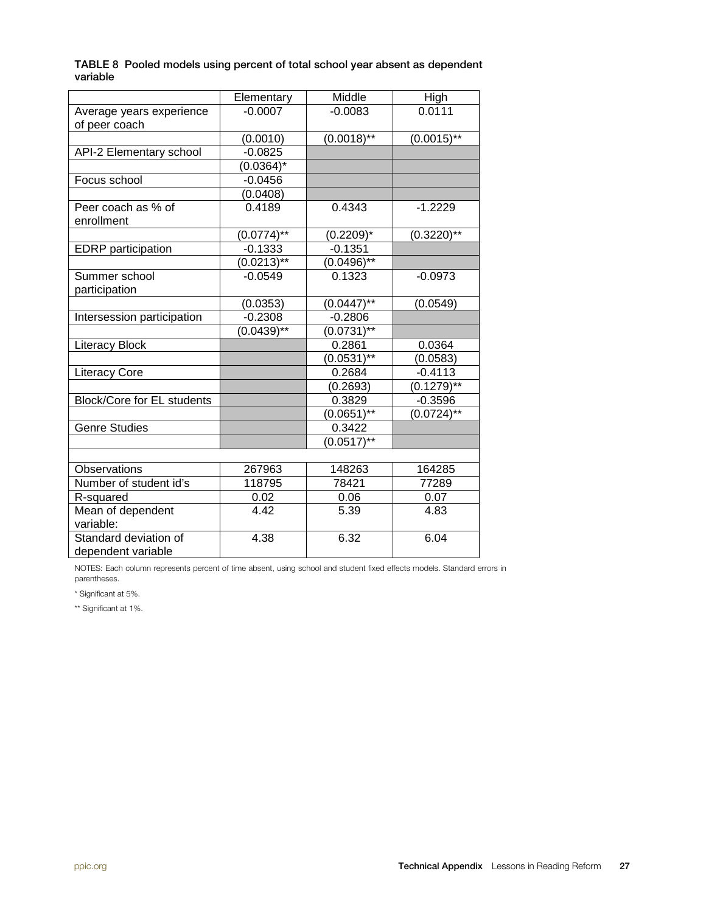|          | TABLE 8 Pooled models using percent of total school year absent as dependent |
|----------|------------------------------------------------------------------------------|
| variable |                                                                              |

|                                   | Elementary      | Middle          | High          |
|-----------------------------------|-----------------|-----------------|---------------|
| Average years experience          | $-0.0007$       | $-0.0083$       | 0.0111        |
| of peer coach                     |                 |                 |               |
|                                   | (0.0010)        | $(0.0018)$ **   | $(0.0015)$ ** |
| API-2 Elementary school           | $-0.0825$       |                 |               |
|                                   | $(0.0364)^*$    |                 |               |
| Focus school                      | $-0.0456$       |                 |               |
|                                   | (0.0408)        |                 |               |
| Peer coach as % of<br>enrollment  | 0.4189          | 0.4343          | $-1.2229$     |
|                                   | $(0.0774)$ **   | $(0.2209)^*$    | $(0.3220)$ ** |
| <b>EDRP</b> participation         | $-0.1333$       | $-0.1351$       |               |
|                                   | $(0.0213)$ **   | $(0.0496)$ **   |               |
| Summer school                     | $-0.0549$       | 0.1323          | $-0.0973$     |
| participation                     |                 |                 |               |
|                                   | (0.0353)        | $(0.0447)$ **   | (0.0549)      |
| Intersession participation        | $-0.2308$       | $-0.2806$       |               |
|                                   | $(0.0439)^{**}$ | $(0.0731**$     |               |
| <b>Literacy Block</b>             |                 | 0.2861          | 0.0364        |
|                                   |                 | $(0.0531)^{**}$ | (0.0583)      |
| <b>Literacy Core</b>              |                 | 0.2684          | $-0.4113$     |
|                                   |                 | (0.2693)        | $(0.1279)$ ** |
| <b>Block/Core for EL students</b> |                 | 0.3829          | $-0.3596$     |
|                                   |                 | $(0.0651)$ **   | $(0.0724)$ ** |
| Genre Studies                     |                 | 0.3422          |               |
|                                   |                 | $(0.0517)$ **   |               |
|                                   |                 |                 |               |
| Observations                      | 267963          | 148263          | 164285        |
| Number of student id's            | 118795          | 78421           | 77289         |
| R-squared                         | 0.02            | 0.06            | 0.07          |
| Mean of dependent                 | 4.42            | 5.39            | 4.83          |
| variable:                         |                 |                 |               |
| Standard deviation of             | 4.38            | 6.32            | 6.04          |
| dependent variable                |                 |                 |               |

NOTES: Each column represents percent of time absent, using school and student fixed effects models. Standard errors in parentheses.

\* Significant at 5%.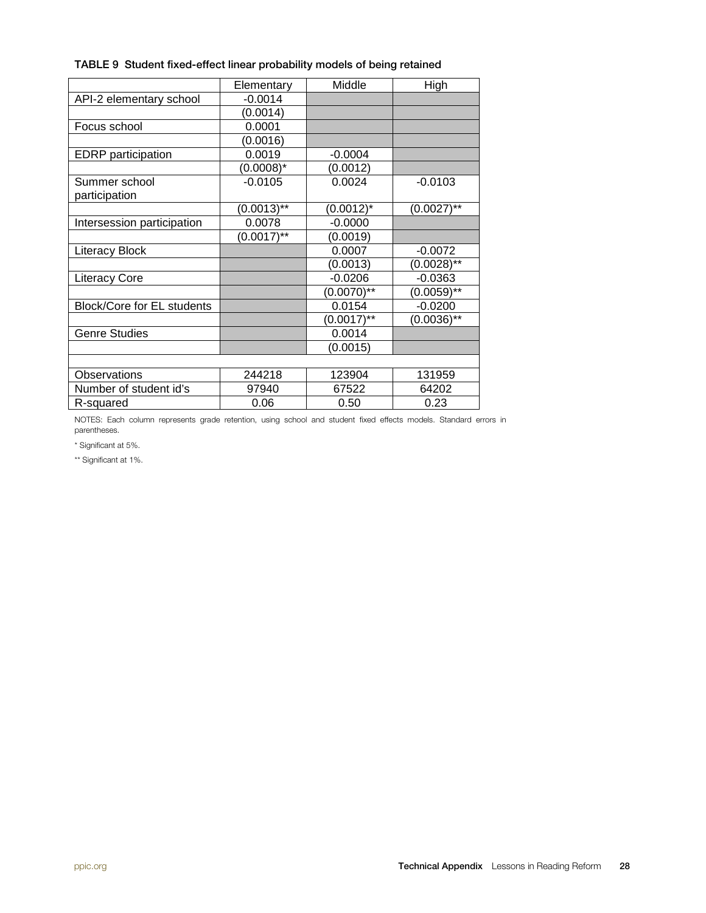| TABLE 9 Student fixed-effect linear probability models of being retained |  |  |  |
|--------------------------------------------------------------------------|--|--|--|
|--------------------------------------------------------------------------|--|--|--|

|                                   | Elementary    | Middle         | High          |
|-----------------------------------|---------------|----------------|---------------|
| API-2 elementary school           | $-0.0014$     |                |               |
|                                   | (0.0014)      |                |               |
| Focus school                      | 0.0001        |                |               |
|                                   | (0.0016)      |                |               |
| <b>EDRP</b> participation         | 0.0019        | $-0.0004$      |               |
|                                   | $(0.0008)^*$  | (0.0012)       |               |
| Summer school                     | $-0.0105$     | 0.0024         | $-0.0103$     |
| participation                     |               |                |               |
|                                   | $(0.0013)$ ** | $(0.0012)^{*}$ | $(0.0027)$ ** |
| Intersession participation        | 0.0078        | $-0.0000$      |               |
|                                   | $(0.0017)$ ** | (0.0019)       |               |
| <b>Literacy Block</b>             |               | 0.0007         | $-0.0072$     |
|                                   |               | (0.0013)       | $(0.0028)$ ** |
| <b>Literacy Core</b>              |               | $-0.0206$      | $-0.0363$     |
|                                   |               | $(0.0070)$ **  | $(0.0059)$ ** |
| <b>Block/Core for EL students</b> |               | 0.0154         | $-0.0200$     |
|                                   |               | $(0.0017)$ **  | $(0.0036)$ ** |
| <b>Genre Studies</b>              |               | 0.0014         |               |
|                                   |               | (0.0015)       |               |
|                                   |               |                |               |
| <b>Observations</b>               | 244218        | 123904         | 131959        |
| Number of student id's            | 97940         | 67522          | 64202         |
| R-squared                         | 0.06          | 0.50           | 0.23          |

NOTES: Each column represents grade retention, using school and student fixed effects models. Standard errors in parentheses.

\* Significant at 5%.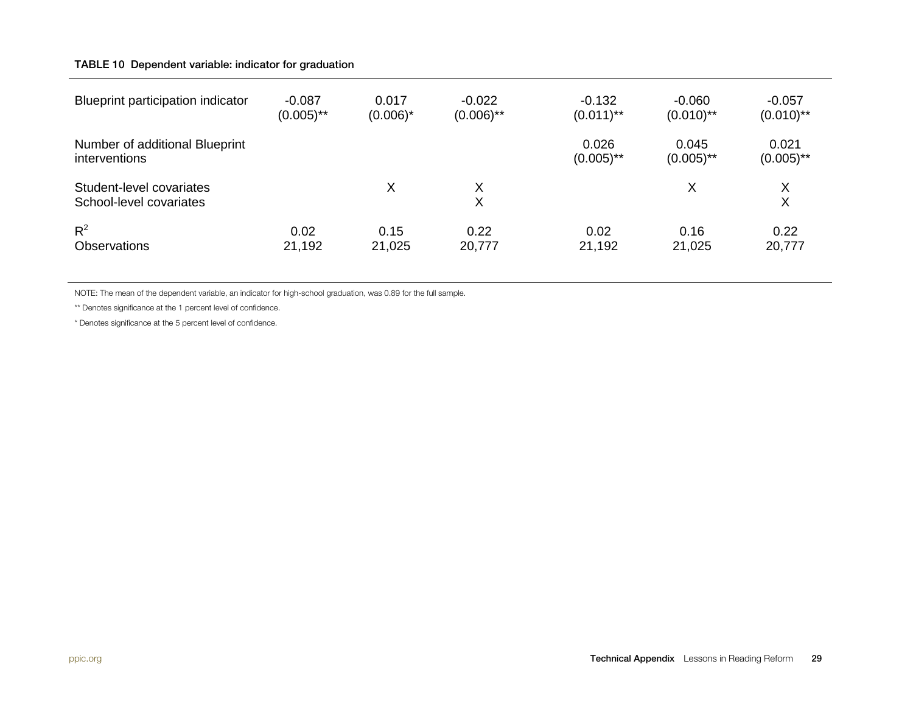#### TABLE 10 Dependent variable: indicator for graduation

| Blueprint participation indicator                   | $-0.087$     | 0.017       | $-0.022$     | $-0.132$              | $-0.060$              | $-0.057$              |
|-----------------------------------------------------|--------------|-------------|--------------|-----------------------|-----------------------|-----------------------|
|                                                     | $(0.005)$ ** | $(0.006)^*$ | $(0.006)$ ** | $(0.011)$ **          | $(0.010)$ **          | $(0.010)$ **          |
| Number of additional Blueprint<br>interventions     |              |             |              | 0.026<br>$(0.005)$ ** | 0.045<br>$(0.005)$ ** | 0.021<br>$(0.005)$ ** |
| Student-level covariates<br>School-level covariates |              | Χ           | Χ<br>Χ       |                       | Χ                     | X<br>X                |
| $R^2$                                               | 0.02         | 0.15        | 0.22         | 0.02                  | 0.16                  | 0.22                  |
| <b>Observations</b>                                 | 21,192       | 21,025      | 20,777       | 21,192                | 21,025                | 20,777                |

NOTE: The mean of the dependent variable, an indicator for high-school graduation, was 0.89 for the full sample.

\*\* Denotes significance at the 1 percent level of confidence.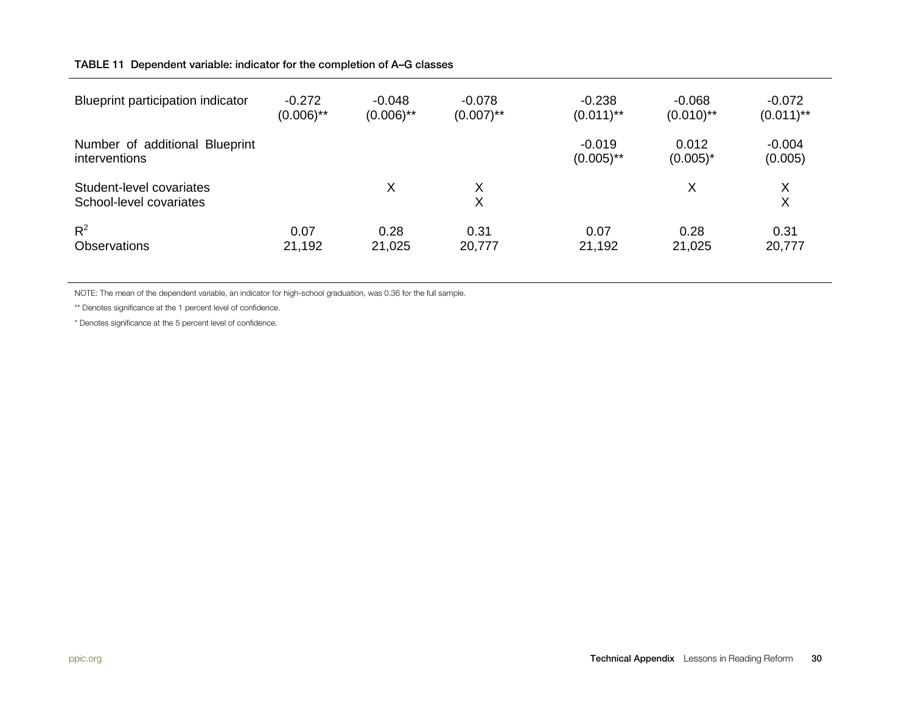#### TABLE 11 Dependent variable: indicator for the completion of A–G classes

| Blueprint participation indicator                   | $-0.272$     | $-0.048$     | $-0.078$     | $-0.238$                 | $-0.068$             | $-0.072$            |
|-----------------------------------------------------|--------------|--------------|--------------|--------------------------|----------------------|---------------------|
|                                                     | $(0.006)$ ** | $(0.006)$ ** | $(0.007)$ ** | $(0.011)$ **             | $(0.010)$ **         | $(0.011)$ **        |
| Number of additional Blueprint<br>interventions     |              |              |              | $-0.019$<br>$(0.005)$ ** | 0.012<br>$(0.005)^*$ | $-0.004$<br>(0.005) |
| Student-level covariates<br>School-level covariates |              | X            | Χ<br>Χ       |                          | X                    | X<br>X              |
| $R^2$                                               | 0.07         | 0.28         | 0.31         | 0.07                     | 0.28                 | 0.31                |
| <b>Observations</b>                                 | 21,192       | 21,025       | 20,777       | 21,192                   | 21,025               | 20,777              |

NOTE: The mean of the dependent variable, an indicator for high-school graduation, was 0.36 for the full sample.

\*\* Denotes significance at the 1 percent level of confidence.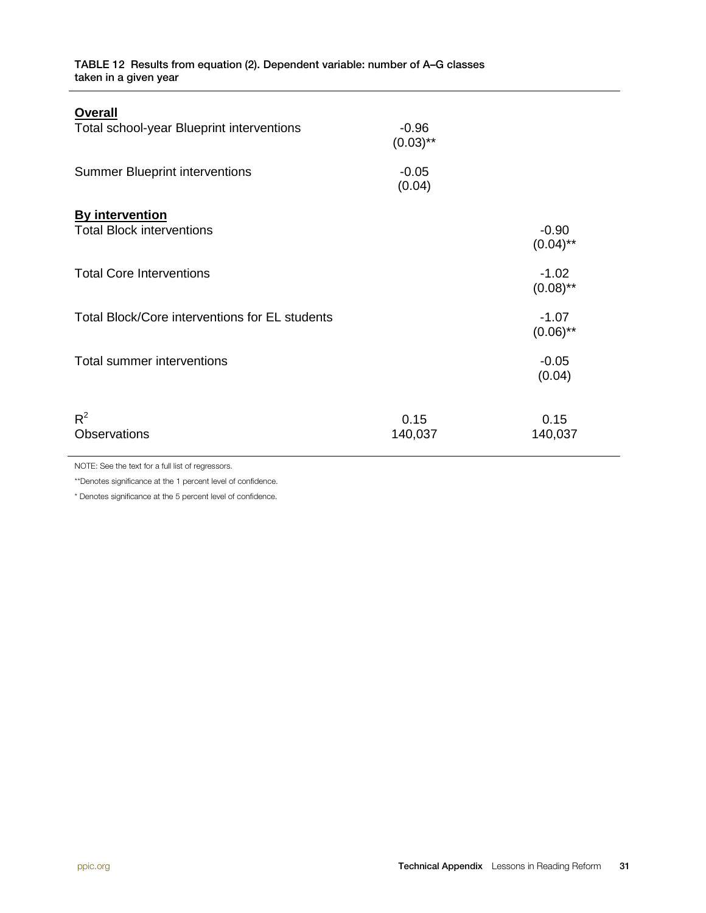TABLE 12 Results from equation (2). Dependent variable: number of A–G classes taken in a given year

| <b>Overall</b><br>Total school-year Blueprint interventions | $-0.96$<br>$(0.03)$ ** |                        |
|-------------------------------------------------------------|------------------------|------------------------|
| <b>Summer Blueprint interventions</b>                       | $-0.05$<br>(0.04)      |                        |
| <b>By intervention</b>                                      |                        |                        |
| <b>Total Block interventions</b>                            |                        | $-0.90$<br>$(0.04)$ ** |
| <b>Total Core Interventions</b>                             |                        | $-1.02$<br>$(0.08)$ ** |
| Total Block/Core interventions for EL students              |                        | $-1.07$<br>$(0.06)$ ** |
| Total summer interventions                                  |                        | $-0.05$<br>(0.04)      |
| $R^2$<br><b>Observations</b>                                | 0.15<br>140,037        | 0.15<br>140,037        |

NOTE: See the text for a full list of regressors.

\*\*Denotes significance at the 1 percent level of confidence.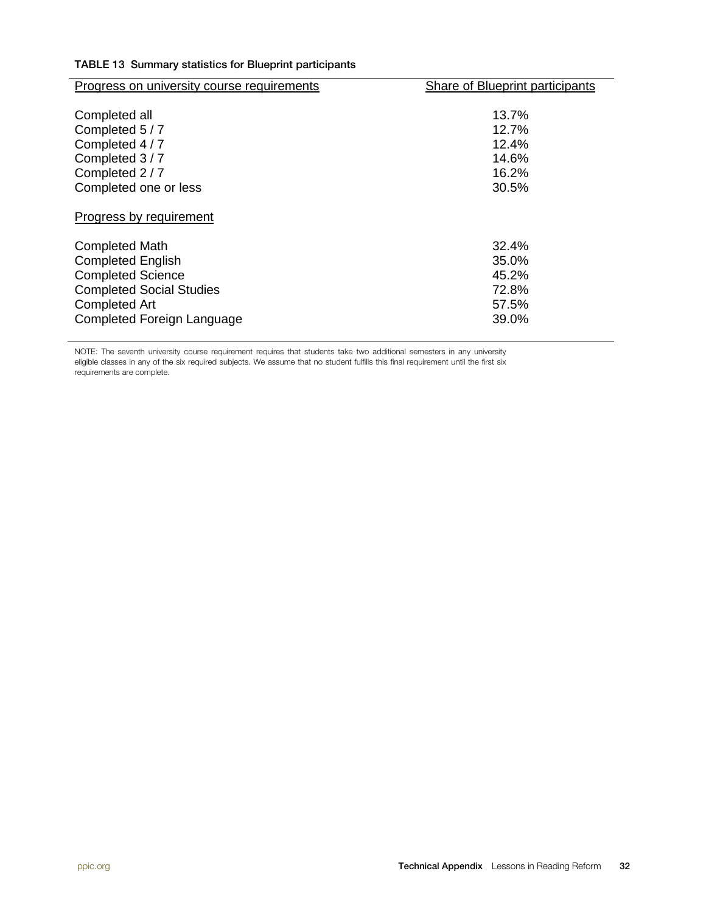|  |  |  |  |  | TABLE 13 Summary statistics for Blueprint participants |
|--|--|--|--|--|--------------------------------------------------------|
|--|--|--|--|--|--------------------------------------------------------|

| <b>Progress on university course requirements</b>                                                              | <b>Share of Blueprint participants</b>                |
|----------------------------------------------------------------------------------------------------------------|-------------------------------------------------------|
| Completed all<br>Completed 5/7<br>Completed 4 / 7<br>Completed 3/7<br>Completed 2 / 7<br>Completed one or less | $13.7\%$<br>12.7%<br>12.4%<br>14.6%<br>16.2%<br>30.5% |
| Progress by requirement                                                                                        |                                                       |
| <b>Completed Math</b>                                                                                          | 32.4%                                                 |
| <b>Completed English</b><br><b>Completed Science</b>                                                           | 35.0%<br>45.2%                                        |
| <b>Completed Social Studies</b><br><b>Completed Art</b>                                                        | 72.8%<br>57.5%                                        |
| Completed Foreign Language                                                                                     | 39.0%                                                 |

NOTE: The seventh university course requirement requires that students take two additional semesters in any university eligible classes in any of the six required subjects. We assume that no student fulfills this final requirement until the first six requirements are complete.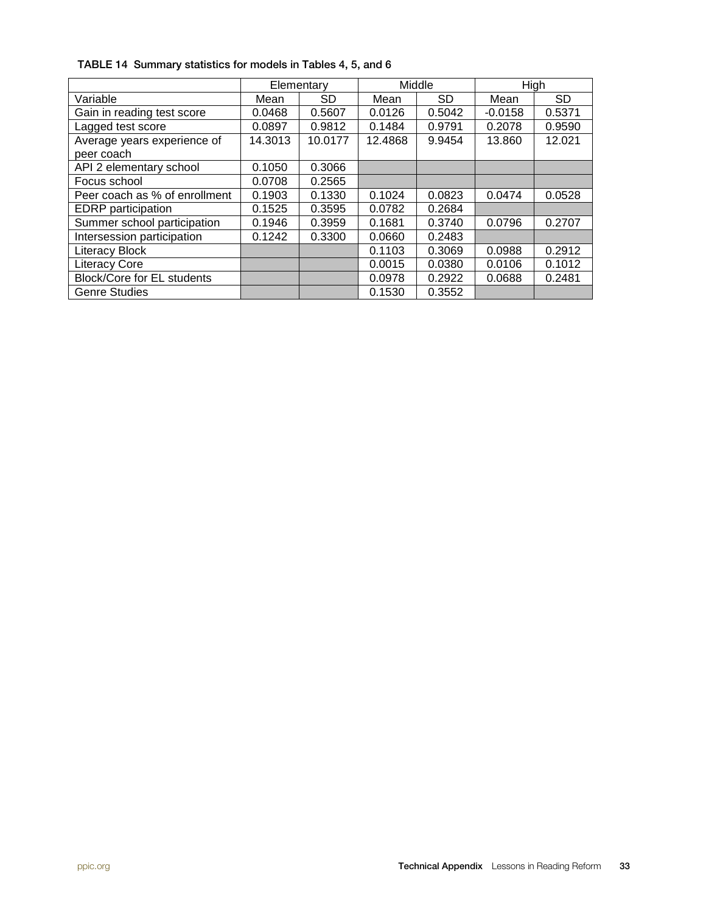|                                   | Elementary |           |         | Middle    |           | High      |
|-----------------------------------|------------|-----------|---------|-----------|-----------|-----------|
| Variable                          | Mean       | <b>SD</b> | Mean    | <b>SD</b> | Mean      | <b>SD</b> |
| Gain in reading test score        | 0.0468     | 0.5607    | 0.0126  | 0.5042    | $-0.0158$ | 0.5371    |
| Lagged test score                 | 0.0897     | 0.9812    | 0.1484  | 0.9791    | 0.2078    | 0.9590    |
| Average years experience of       | 14.3013    | 10.0177   | 12.4868 | 9.9454    | 13.860    | 12.021    |
| peer coach                        |            |           |         |           |           |           |
| API 2 elementary school           | 0.1050     | 0.3066    |         |           |           |           |
| Focus school                      | 0.0708     | 0.2565    |         |           |           |           |
| Peer coach as % of enrollment     | 0.1903     | 0.1330    | 0.1024  | 0.0823    | 0.0474    | 0.0528    |
| <b>EDRP</b> participation         | 0.1525     | 0.3595    | 0.0782  | 0.2684    |           |           |
| Summer school participation       | 0.1946     | 0.3959    | 0.1681  | 0.3740    | 0.0796    | 0.2707    |
| Intersession participation        | 0.1242     | 0.3300    | 0.0660  | 0.2483    |           |           |
| Literacy Block                    |            |           | 0.1103  | 0.3069    | 0.0988    | 0.2912    |
| <b>Literacy Core</b>              |            |           | 0.0015  | 0.0380    | 0.0106    | 0.1012    |
| <b>Block/Core for EL students</b> |            |           | 0.0978  | 0.2922    | 0.0688    | 0.2481    |
| <b>Genre Studies</b>              |            |           | 0.1530  | 0.3552    |           |           |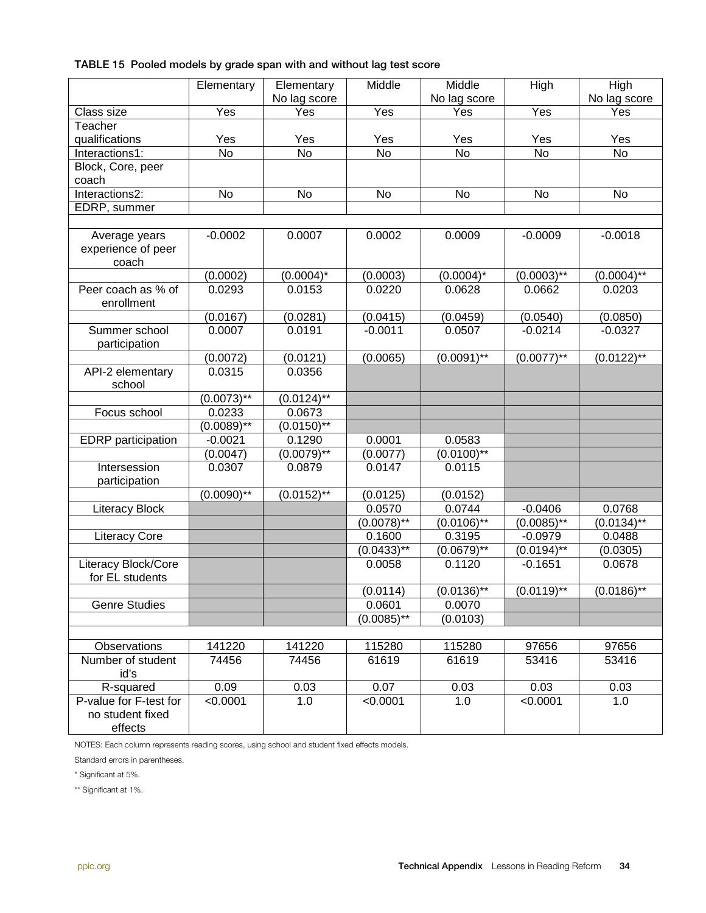#### TABLE 15 Pooled models by grade span with and without lag test score

|                                                       | Elementary    | Elementary<br>No lag score | Middle        | Middle<br>No lag score | High          | High<br>No lag score       |
|-------------------------------------------------------|---------------|----------------------------|---------------|------------------------|---------------|----------------------------|
| Class size                                            | Yes           | Yes                        | Yes           | Yes                    | Yes           | Yes                        |
| Teacher                                               |               |                            |               |                        |               |                            |
| qualifications                                        | Yes           | Yes                        | Yes           | Yes                    | Yes           | Yes                        |
| Interactions1:                                        | <b>No</b>     | <b>No</b>                  | <b>No</b>     | No                     | <b>No</b>     | No                         |
| Block, Core, peer<br>coach                            |               |                            |               |                        |               |                            |
| Interactions2:                                        | No            | No                         | No            | No                     | No            | No                         |
| EDRP, summer                                          |               |                            |               |                        |               |                            |
|                                                       |               |                            |               |                        |               |                            |
| Average years<br>experience of peer<br>coach          | $-0.0002$     | 0.0007                     | 0.0002        | 0.0009                 | $-0.0009$     | $-0.0018$                  |
|                                                       | (0.0002)      | $(0.0004)^*$               | (0.0003)      | $(0.0004)^*$           | $(0.0003)$ ** | $(0.0004)$ **              |
| Peer coach as % of<br>enrollment                      | 0.0293        | 0.0153                     | 0.0220        | 0.0628                 | 0.0662        | 0.0203                     |
|                                                       | (0.0167)      | (0.0281)                   | (0.0415)      | (0.0459)               | (0.0540)      | (0.0850)                   |
| Summer school<br>participation                        | 0.0007        | 0.0191                     | $-0.0011$     | 0.0507                 | $-0.0214$     | $-0.0327$                  |
|                                                       | (0.0072)      | (0.0121)                   | (0.0065)      | $(0.0091)$ **          | $(0.0077)$ ** | $(0.01\overline{22})^{**}$ |
| API-2 elementary<br>school                            | 0.0315        | 0.0356                     |               |                        |               |                            |
|                                                       | $(0.0073)$ ** | $(0.0124)$ **              |               |                        |               |                            |
| Focus school                                          | 0.0233        | 0.0673                     |               |                        |               |                            |
|                                                       | $(0.0089)$ ** | $(0.0150)$ **              |               |                        |               |                            |
| <b>EDRP</b> participation                             | $-0.0021$     | 0.1290                     | 0.0001        | 0.0583                 |               |                            |
|                                                       | (0.0047)      | $(0.0079)$ **              | (0.0077)      | $(0.0100)$ **          |               |                            |
| Intersession<br>participation                         | 0.0307        | 0.0879                     | 0.0147        | 0.0115                 |               |                            |
|                                                       | $(0.0090)$ ** | $(0.0152)$ **              | (0.0125)      | (0.0152)               |               |                            |
| <b>Literacy Block</b>                                 |               |                            | 0.0570        | 0.0744                 | $-0.0406$     | 0.0768                     |
|                                                       |               |                            | $(0.0078)$ ** | $(0.0106)$ **          | $(0.0085)$ ** | $(0.01\overline{34})^{**}$ |
| <b>Literacy Core</b>                                  |               |                            | 0.1600        | 0.3195                 | $-0.0979$     | 0.0488                     |
|                                                       |               |                            | $(0.0433)$ ** | $(0.0679)$ **          | $(0.0194)$ ** | (0.0305)                   |
| Literacy Block/Core<br>for EL students                |               |                            | 0.0058        | 0.1120                 | $-0.1651$     | 0.0678                     |
|                                                       |               |                            | (0.0114)      | $(0.0136)$ **          | $(0.0119)$ ** | $(0.0186)$ **              |
| <b>Genre Studies</b>                                  |               |                            | 0.0601        | 0.0070                 |               |                            |
|                                                       |               |                            | $(0.0085)$ ** | (0.0103)               |               |                            |
|                                                       |               |                            |               |                        |               |                            |
| Observations                                          | 141220        | 141220                     | 115280        | 115280                 | 97656         | 97656                      |
| Number of student<br>id's                             | 74456         | 74456                      | 61619         | 61619                  | 53416         | 53416                      |
| R-squared                                             | 0.09          | 0.03                       | 0.07          | 0.03                   | 0.03          | 0.03                       |
| P-value for F-test for<br>no student fixed<br>effects | < 0.0001      | 1.0                        | < 0.0001      | 1.0                    | < 0.0001      | 1.0                        |

NOTES: Each column represents reading scores, using school and student fixed effects models.

Standard errors in parentheses.

\* Significant at 5%.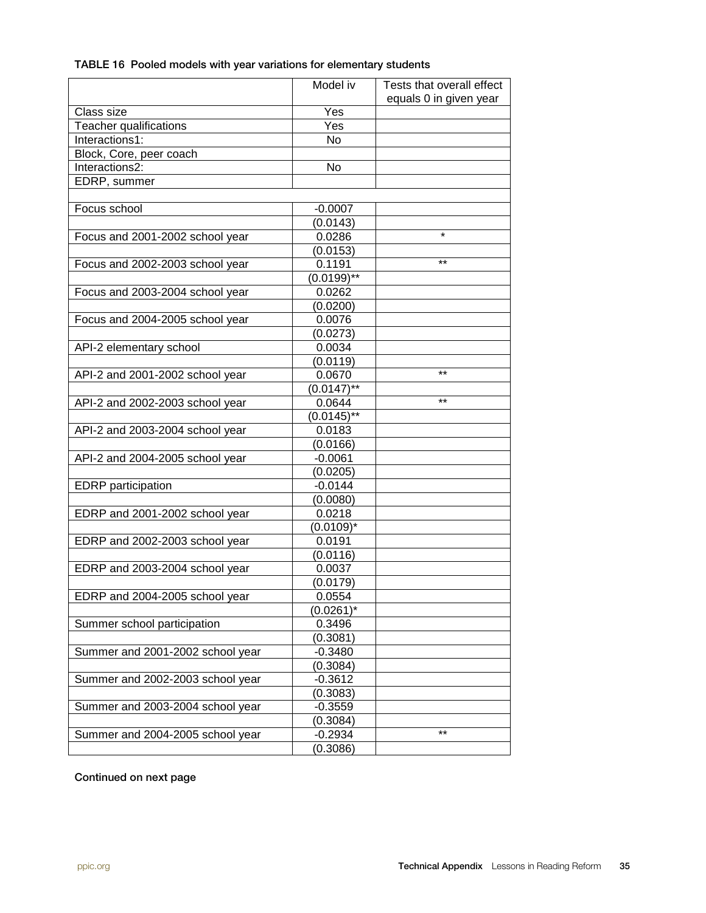| TABLE 16 Pooled models with year variations for elementary students |  |  |  |
|---------------------------------------------------------------------|--|--|--|
|---------------------------------------------------------------------|--|--|--|

|                                  | Model iv      | Tests that overall effect |
|----------------------------------|---------------|---------------------------|
|                                  |               | equals 0 in given year    |
| Class size                       | Yes           |                           |
| Teacher qualifications           | Yes           |                           |
| Interactions1:                   | No            |                           |
| Block, Core, peer coach          |               |                           |
| Interactions2:                   | No            |                           |
| EDRP, summer                     |               |                           |
|                                  |               |                           |
| Focus school                     | $-0.0007$     |                           |
|                                  | (0.0143)      |                           |
| Focus and 2001-2002 school year  | 0.0286        | $\star$                   |
|                                  | (0.0153)      |                           |
| Focus and 2002-2003 school year  | 0.1191        | $***$                     |
|                                  | $(0.0199)$ ** |                           |
| Focus and 2003-2004 school year  | 0.0262        |                           |
|                                  | (0.0200)      |                           |
| Focus and 2004-2005 school year  | 0.0076        |                           |
|                                  | (0.0273)      |                           |
| API-2 elementary school          | 0.0034        |                           |
|                                  | (0.0119)      |                           |
| API-2 and 2001-2002 school year  | 0.0670        | $**$                      |
|                                  | $(0.0147)$ ** |                           |
| API-2 and 2002-2003 school year  | 0.0644        | $***$                     |
|                                  | $(0.0145)$ ** |                           |
| API-2 and 2003-2004 school year  | 0.0183        |                           |
|                                  | (0.0166)      |                           |
| API-2 and 2004-2005 school year  | $-0.0061$     |                           |
|                                  | (0.0205)      |                           |
| <b>EDRP</b> participation        | $-0.0144$     |                           |
|                                  | (0.0080)      |                           |
| EDRP and 2001-2002 school year   | 0.0218        |                           |
|                                  | $(0.0109)^*$  |                           |
| EDRP and 2002-2003 school year   | 0.0191        |                           |
|                                  | (0.0116)      |                           |
| EDRP and 2003-2004 school year   | 0.0037        |                           |
|                                  | (0.0179)      |                           |
| EDRP and 2004-2005 school year   | 0.0554        |                           |
|                                  | $(0.0261)^*$  |                           |
| Summer school participation      | 0.3496        |                           |
|                                  | (0.3081)      |                           |
| Summer and 2001-2002 school year | $-0.3480$     |                           |
|                                  | (0.3084)      |                           |
| Summer and 2002-2003 school year | $-0.3612$     |                           |
|                                  | (0.3083)      |                           |
| Summer and 2003-2004 school year | $-0.3559$     |                           |
|                                  | (0.3084)      |                           |
| Summer and 2004-2005 school year | $-0.2934$     | $***$                     |
|                                  | (0.3086)      |                           |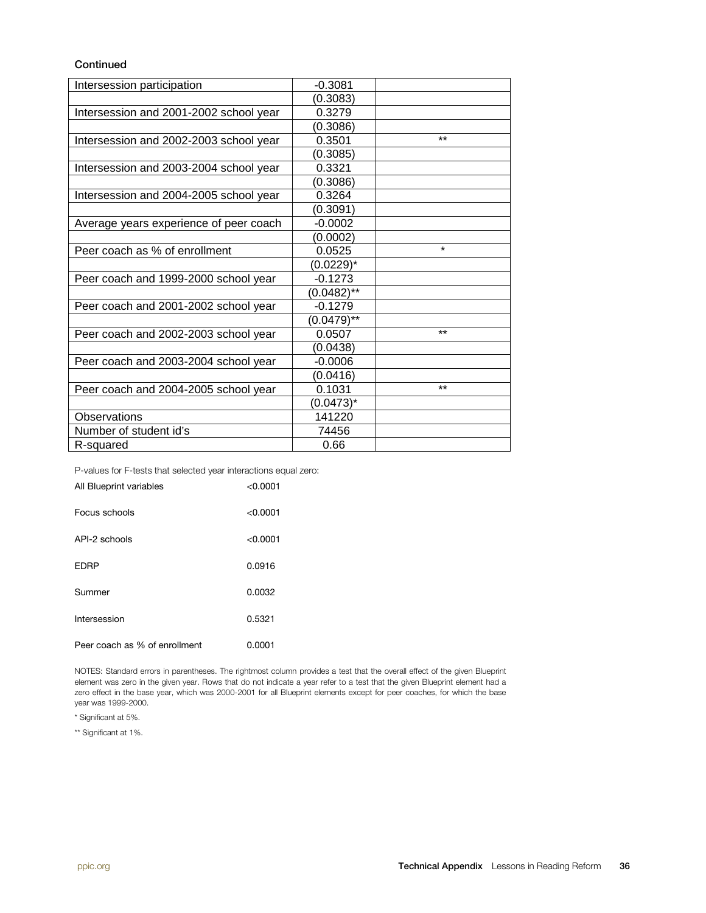#### **Continued**

| Intersession participation             | $-0.3081$     |       |
|----------------------------------------|---------------|-------|
|                                        | (0.3083)      |       |
| Intersession and 2001-2002 school year | 0.3279        |       |
|                                        | (0.3086)      |       |
| Intersession and 2002-2003 school year | 0.3501        | $***$ |
|                                        | (0.3085)      |       |
| Intersession and 2003-2004 school year | 0.3321        |       |
|                                        | (0.3086)      |       |
| Intersession and 2004-2005 school year | 0.3264        |       |
|                                        | (0.3091)      |       |
| Average years experience of peer coach | $-0.0002$     |       |
|                                        | (0.0002)      |       |
| Peer coach as % of enrollment          | 0.0525        | ¥     |
|                                        | (0.0229)*     |       |
| Peer coach and 1999-2000 school year   | $-0.1273$     |       |
|                                        | $(0.0482)$ ** |       |
| Peer coach and 2001-2002 school year   | $-0.1279$     |       |
|                                        | $(0.0479)$ ** |       |
| Peer coach and 2002-2003 school year   | 0.0507        | $***$ |
|                                        | (0.0438)      |       |
| Peer coach and 2003-2004 school year   | $-0.0006$     |       |
|                                        | (0.0416)      |       |
| Peer coach and 2004-2005 school year   | 0.1031        | $**$  |
|                                        | $(0.0473)^*$  |       |
| Observations                           | 141220        |       |
| Number of student id's                 | 74456         |       |
| R-squared                              | 0.66          |       |

P-values for F-tests that selected year interactions equal zero:

| All Blueprint variables       | < 0.0001 |
|-------------------------------|----------|
| Focus schools                 | < 0.0001 |
| API-2 schools                 | < 0.0001 |
| <b>EDRP</b>                   | 0.0916   |
| Summer                        | 0.0032   |
| Intersession                  | 0.5321   |
| Peer coach as % of enrollment | 0.0001   |

NOTES: Standard errors in parentheses. The rightmost column provides a test that the overall effect of the given Blueprint element was zero in the given year. Rows that do not indicate a year refer to a test that the given Blueprint element had a zero effect in the base year, which was 2000-2001 for all Blueprint elements except for peer coaches, for which the base year was 1999-2000.

\* Significant at 5%.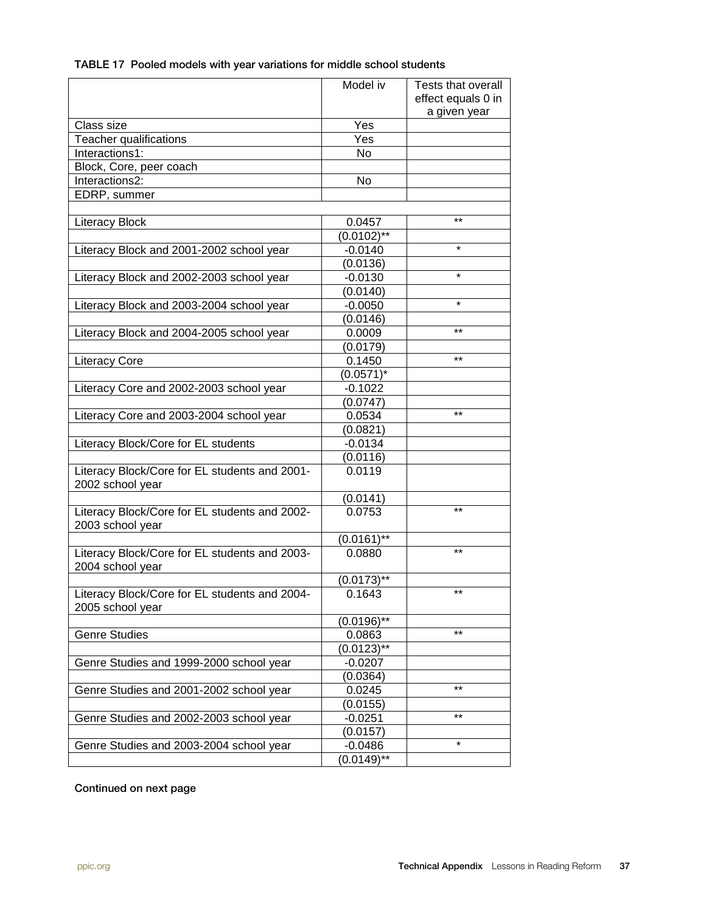|  | TABLE 17 Pooled models with year variations for middle school students |  |  |  |
|--|------------------------------------------------------------------------|--|--|--|
|--|------------------------------------------------------------------------|--|--|--|

|                                                                   | Model iv                   | Tests that overall |
|-------------------------------------------------------------------|----------------------------|--------------------|
|                                                                   |                            | effect equals 0 in |
|                                                                   |                            | a given year       |
| Class size                                                        | Yes                        |                    |
| Teacher qualifications                                            | Yes                        |                    |
| Interactions1:                                                    | No                         |                    |
| Block, Core, peer coach                                           |                            |                    |
| Interactions2:                                                    | No                         |                    |
| EDRP, summer                                                      |                            |                    |
|                                                                   |                            |                    |
| <b>Literacy Block</b>                                             | 0.0457                     | $***$              |
|                                                                   | $(0.0102)$ **              |                    |
| Literacy Block and 2001-2002 school year                          | $-0.0140$                  | $\star$            |
|                                                                   | (0.0136)                   |                    |
| Literacy Block and 2002-2003 school year                          | $-0.0130$                  | $\star$            |
|                                                                   | (0.0140)                   |                    |
| Literacy Block and 2003-2004 school year                          | $-0.0050$                  | $\star$            |
|                                                                   | (0.0146)                   |                    |
| Literacy Block and 2004-2005 school year                          | 0.0009                     | $***$              |
|                                                                   | (0.0179)                   |                    |
| <b>Literacy Core</b>                                              | 0.1450                     | $***$              |
|                                                                   | $(0.0571)^*$               |                    |
| Literacy Core and 2002-2003 school year                           | $-0.1022$                  |                    |
|                                                                   | (0.0747)                   |                    |
| Literacy Core and 2003-2004 school year                           | 0.0534                     | $***$              |
|                                                                   | (0.0821)                   |                    |
| Literacy Block/Core for EL students                               | $-0.0134$                  |                    |
|                                                                   | (0.0116)                   |                    |
| Literacy Block/Core for EL students and 2001-                     | 0.0119                     |                    |
| 2002 school year                                                  |                            |                    |
|                                                                   | (0.0141)                   |                    |
| Literacy Block/Core for EL students and 2002-                     | 0.0753                     | $***$              |
| 2003 school year                                                  |                            |                    |
|                                                                   | $(0.0161)$ **              |                    |
| Literacy Block/Core for EL students and 2003-<br>2004 school year | 0.0880                     | $***$              |
|                                                                   | $(0.0173)$ **              |                    |
| Literacy Block/Core for EL students and 2004-<br>2005 school year | 0.1643                     | $***$              |
|                                                                   | $(0.01\overline{96})^{**}$ |                    |
| <b>Genre Studies</b>                                              | 0.0863                     | $***$              |
|                                                                   | $(0.0123)$ **              |                    |
| Genre Studies and 1999-2000 school year                           | $-0.0207$                  |                    |
|                                                                   | (0.0364)                   |                    |
| Genre Studies and 2001-2002 school year                           | 0.0245                     | $***$              |
|                                                                   | (0.0155)                   |                    |
| Genre Studies and 2002-2003 school year                           | $-0.0251$                  | $***$              |
|                                                                   | (0.0157)                   |                    |
| Genre Studies and 2003-2004 school year                           | $-0.0486$                  | $\star$            |
|                                                                   | $(0.0149)$ **              |                    |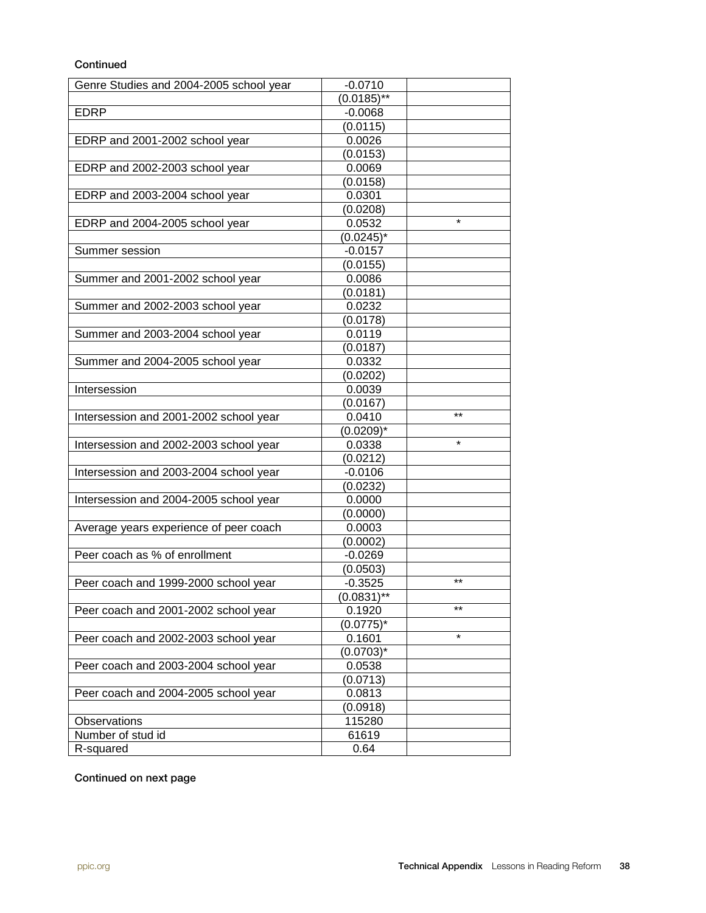#### **Continued**

| Genre Studies and 2004-2005 school year | $-0.0710$            |         |
|-----------------------------------------|----------------------|---------|
|                                         | $(0.0185)$ **        |         |
| <b>EDRP</b>                             | $-0.0068$            |         |
|                                         | (0.0115)             |         |
| EDRP and 2001-2002 school year          | 0.0026               |         |
|                                         | (0.0153)             |         |
| EDRP and 2002-2003 school year          | 0.0069               |         |
|                                         | (0.0158)             |         |
| EDRP and 2003-2004 school year          | 0.0301               |         |
|                                         | (0.0208)             |         |
| EDRP and 2004-2005 school year          | 0.0532               | $\star$ |
|                                         | $(0.0245)^*$         |         |
| Summer session                          | $-0.0157$            |         |
|                                         | (0.0155)             |         |
| Summer and 2001-2002 school year        | 0.0086               |         |
|                                         | (0.0181)             |         |
| Summer and 2002-2003 school year        | 0.0232               |         |
|                                         | (0.0178)             |         |
| Summer and 2003-2004 school year        | 0.0119               |         |
|                                         | (0.0187)             |         |
| Summer and 2004-2005 school year        | 0.0332               |         |
|                                         | (0.0202)             |         |
| Intersession                            | 0.0039               |         |
|                                         | (0.0167)             | $***$   |
| Intersession and 2001-2002 school year  | 0.0410               |         |
|                                         | $(0.0209)^*$         | $\star$ |
| Intersession and 2002-2003 school year  | 0.0338               |         |
|                                         | (0.0212)             |         |
| Intersession and 2003-2004 school year  | $-0.0106$            |         |
|                                         | (0.0232)             |         |
| Intersession and 2004-2005 school year  | 0.0000               |         |
|                                         | (0.0000)             |         |
| Average years experience of peer coach  | 0.0003               |         |
| Peer coach as % of enrollment           | (0.0002)             |         |
|                                         | $-0.0269$            |         |
|                                         | (0.0503)             | $***$   |
| Peer coach and 1999-2000 school year    | $-0.3525$            |         |
| Peer coach and 2001-2002 school year    | (0.0831)**<br>0.1920 | $***$   |
|                                         | $(0.0775)^*$         |         |
| Peer coach and 2002-2003 school year    | 0.1601               | $\star$ |
|                                         | $(0.0703)^*$         |         |
| Peer coach and 2003-2004 school year    | 0.0538               |         |
|                                         | (0.0713)             |         |
| Peer coach and 2004-2005 school year    | 0.0813               |         |
|                                         | (0.0918)             |         |
| Observations                            | 115280               |         |
| Number of stud id                       | 61619                |         |
| R-squared                               | 0.64                 |         |
|                                         |                      |         |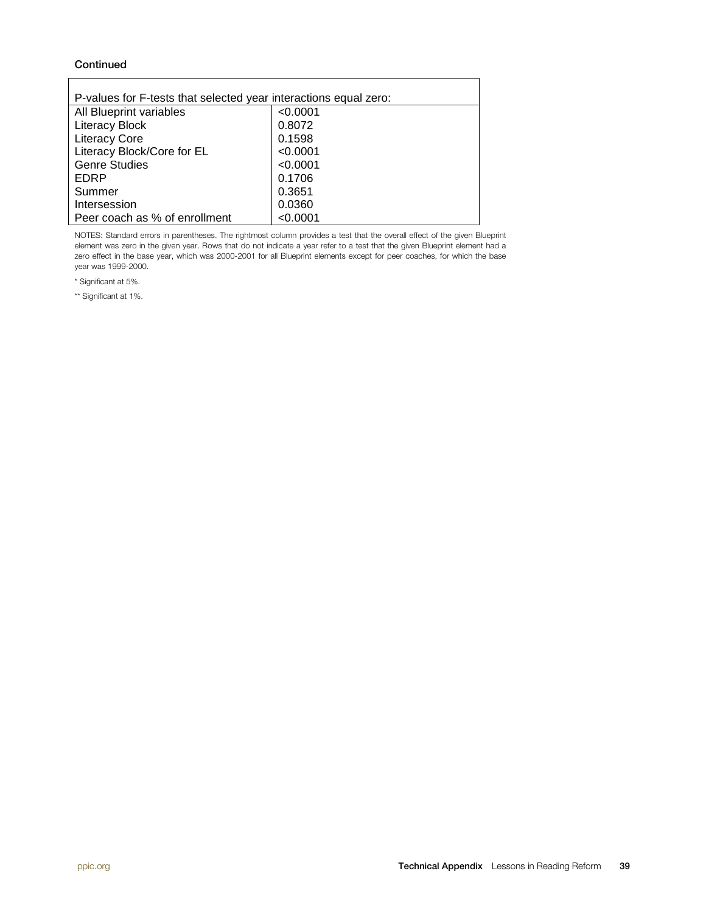#### **Continued**

| P-values for F-tests that selected year interactions equal zero: |          |  |  |
|------------------------------------------------------------------|----------|--|--|
| All Blueprint variables                                          | < 0.0001 |  |  |
| <b>Literacy Block</b>                                            | 0.8072   |  |  |
| <b>Literacy Core</b>                                             | 0.1598   |  |  |
| Literacy Block/Core for EL                                       | < 0.0001 |  |  |
| <b>Genre Studies</b>                                             | < 0.0001 |  |  |
| EDRP                                                             | 0.1706   |  |  |
| Summer                                                           | 0.3651   |  |  |
| Intersession                                                     | 0.0360   |  |  |
| Peer coach as % of enrollment                                    | < 0.0001 |  |  |

NOTES: Standard errors in parentheses. The rightmost column provides a test that the overall effect of the given Blueprint element was zero in the given year. Rows that do not indicate a year refer to a test that the given Blueprint element had a zero effect in the base year, which was 2000-2001 for all Blueprint elements except for peer coaches, for which the base year was 1999-2000.

\* Significant at 5%.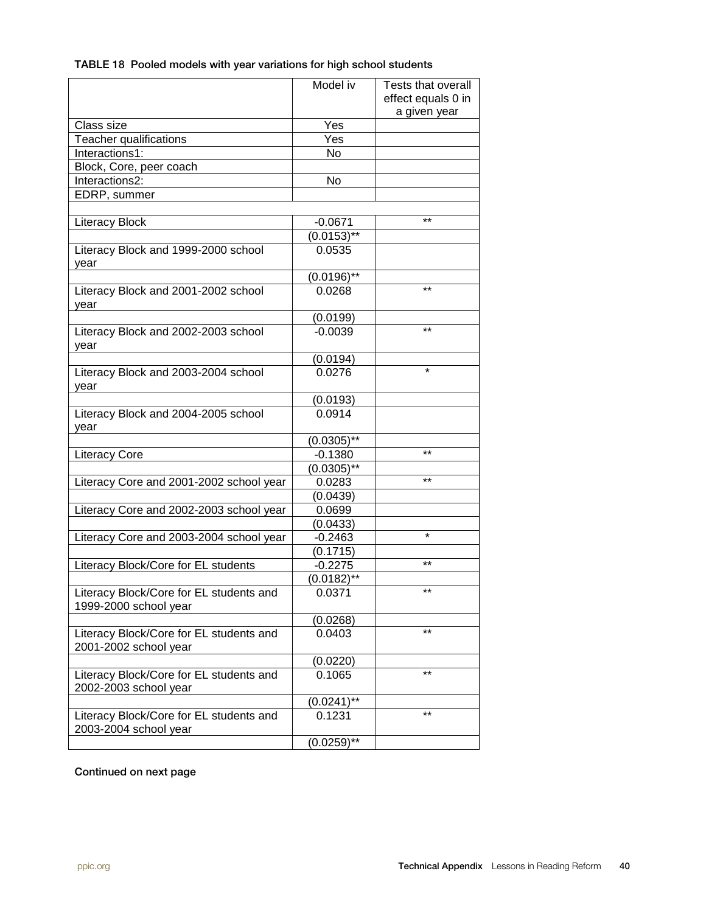#### TABLE 18 Pooled models with year variations for high school students

|                                                                  | Model iv      | Tests that overall |
|------------------------------------------------------------------|---------------|--------------------|
|                                                                  |               | effect equals 0 in |
|                                                                  |               | a given year       |
| Class size                                                       | Yes           |                    |
| Teacher qualifications                                           | Yes           |                    |
| Interactions1:                                                   | No            |                    |
| Block, Core, peer coach                                          |               |                    |
| Interactions2:                                                   | No            |                    |
| EDRP, summer                                                     |               |                    |
|                                                                  |               |                    |
| <b>Literacy Block</b>                                            | $-0.0671$     | $***$              |
|                                                                  | $(0.0153)$ ** |                    |
| Literacy Block and 1999-2000 school<br>vear                      | 0.0535        |                    |
|                                                                  | $(0.0196)$ ** |                    |
| Literacy Block and 2001-2002 school<br>year                      | 0.0268        | $***$              |
|                                                                  | (0.0199)      |                    |
| Literacy Block and 2002-2003 school<br>year                      | $-0.0039$     | $***$              |
|                                                                  | (0.0194)      |                    |
| Literacy Block and 2003-2004 school<br>year                      | 0.0276        | $\star$            |
|                                                                  | (0.0193)      |                    |
| Literacy Block and 2004-2005 school<br>vear                      | 0.0914        |                    |
|                                                                  | $(0.0305)$ ** |                    |
| <b>Literacy Core</b>                                             | $-0.1380$     | $***$              |
|                                                                  | $(0.0305)$ ** |                    |
| Literacy Core and 2001-2002 school year                          | 0.0283        | $***$              |
|                                                                  | (0.0439)      |                    |
| Literacy Core and 2002-2003 school year                          | 0.0699        |                    |
|                                                                  | (0.0433)      |                    |
| Literacy Core and 2003-2004 school year                          | $-0.2463$     | $\star$            |
|                                                                  | (0.1715)      |                    |
| Literacy Block/Core for EL students                              | $-0.2275$     | $***$              |
|                                                                  | $(0.0182)$ ** |                    |
| Literacy Block/Core for EL students and<br>1999-2000 school year | 0.0371        | $***$              |
|                                                                  | (0.0268)      |                    |
| Literacy Block/Core for EL students and<br>2001-2002 school year | 0.0403        | $***$              |
|                                                                  | (0.0220)      |                    |
| Literacy Block/Core for EL students and<br>2002-2003 school year | 0.1065        | $***$              |
|                                                                  | $(0.0241)$ ** |                    |
| Literacy Block/Core for EL students and<br>2003-2004 school year | 0.1231        | $***$              |
|                                                                  | $(0.0259)$ ** |                    |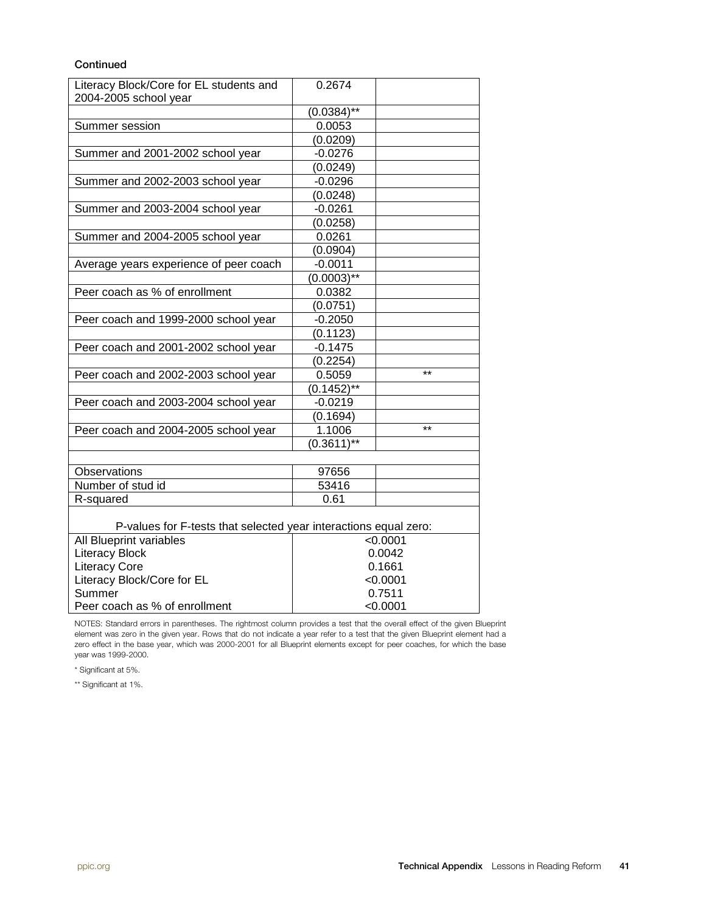#### **Continued**

| Literacy Block/Core for EL students and<br>2004-2005 school year | 0.2674        |            |  |  |
|------------------------------------------------------------------|---------------|------------|--|--|
|                                                                  | $(0.0384)$ ** |            |  |  |
| Summer session                                                   | 0.0053        |            |  |  |
|                                                                  | (0.0209)      |            |  |  |
| Summer and 2001-2002 school year                                 | $-0.0276$     |            |  |  |
|                                                                  | (0.0249)      |            |  |  |
| Summer and 2002-2003 school year                                 | $-0.0296$     |            |  |  |
|                                                                  | (0.0248)      |            |  |  |
| Summer and 2003-2004 school year                                 | $-0.0261$     |            |  |  |
|                                                                  | (0.0258)      |            |  |  |
| Summer and 2004-2005 school year                                 | 0.0261        |            |  |  |
|                                                                  | (0.0904)      |            |  |  |
| Average years experience of peer coach                           | $-0.0011$     |            |  |  |
|                                                                  | $(0.0003)$ ** |            |  |  |
| Peer coach as % of enrollment                                    | 0.0382        |            |  |  |
|                                                                  | (0.0751)      |            |  |  |
| Peer coach and 1999-2000 school year                             | $-0.2050$     |            |  |  |
|                                                                  | (0.1123)      |            |  |  |
| Peer coach and 2001-2002 school year                             | $-0.1475$     |            |  |  |
|                                                                  | (0.2254)      |            |  |  |
| Peer coach and 2002-2003 school year                             | 0.5059        | $***$      |  |  |
|                                                                  | $(0.1452)$ ** |            |  |  |
| Peer coach and 2003-2004 school year                             | $-0.0219$     |            |  |  |
|                                                                  | (0.1694)      |            |  |  |
| Peer coach and 2004-2005 school year                             | 1.1006        | $***$      |  |  |
|                                                                  | $(0.3611)$ ** |            |  |  |
|                                                                  |               |            |  |  |
| <b>Observations</b>                                              | 97656         |            |  |  |
| Number of stud id                                                | 53416         |            |  |  |
| R-squared                                                        | 0.61          |            |  |  |
| P-values for F-tests that selected year interactions equal zero: |               |            |  |  |
| All Blueprint variables                                          |               | < 0.0001   |  |  |
| <b>Literacy Block</b>                                            |               | 0.0042     |  |  |
| <b>Literacy Core</b>                                             |               | 0.1661     |  |  |
| Literacy Block/Core for EL                                       |               | $<$ 0.0001 |  |  |
| Summer                                                           |               | 0.7511     |  |  |

NOTES: Standard errors in parentheses. The rightmost column provides a test that the overall effect of the given Blueprint element was zero in the given year. Rows that do not indicate a year refer to a test that the given Blueprint element had a zero effect in the base year, which was 2000-2001 for all Blueprint elements except for peer coaches, for which the base year was 1999-2000.

<0.0001

\* Significant at 5%.

Peer coach as % of enrollment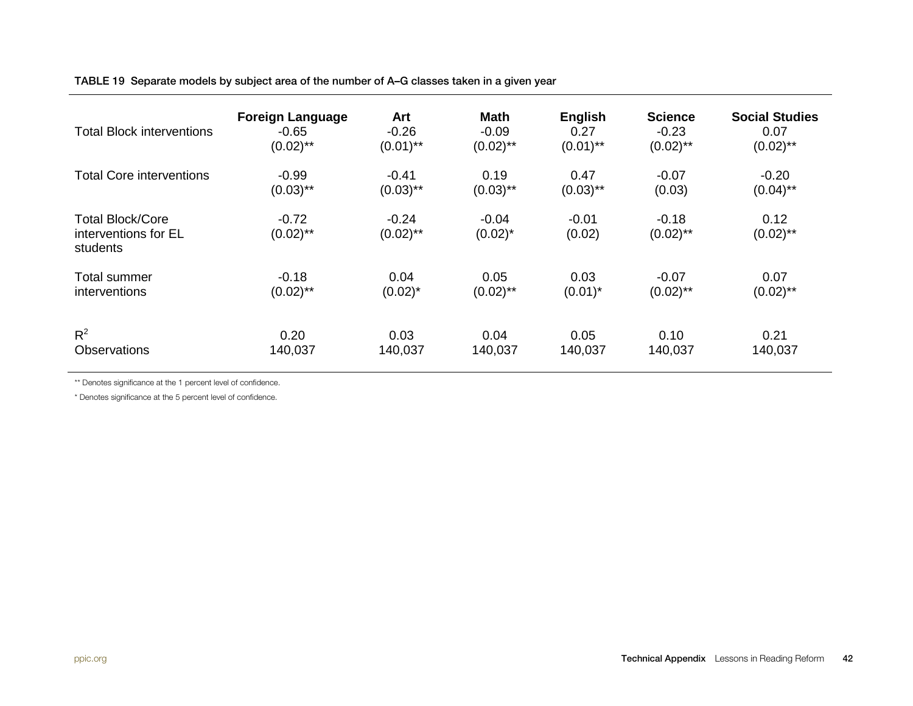TABLE 19 Separate models by subject area of the number of A–G classes taken in a given year

| Total Block interventions                                   | <b>Foreign Language</b> | Art                    | <b>Math</b>           | <b>English</b>    | <b>Science</b>         | <b>Social Studies</b> |
|-------------------------------------------------------------|-------------------------|------------------------|-----------------------|-------------------|------------------------|-----------------------|
|                                                             | $-0.65$                 | $-0.26$                | $-0.09$               | 0.27              | $-0.23$                | 0.07                  |
|                                                             | $(0.02)$ **             | $(0.01)$ **            | $(0.02)$ **           | $(0.01)$ **       | $(0.02)$ **            | $(0.02)$ **           |
| <b>Total Core interventions</b>                             | $-0.99$                 | $-0.41$                | 0.19                  | 0.47              | $-0.07$                | $-0.20$               |
|                                                             | $(0.03)$ **             | $(0.03)$ **            | $(0.03)$ **           | $(0.03)$ **       | (0.03)                 | $(0.04)$ **           |
| <b>Total Block/Core</b><br>interventions for EL<br>students | $-0.72$<br>$(0.02)$ **  | $-0.24$<br>$(0.02)$ ** | $-0.04$<br>$(0.02)^*$ | $-0.01$<br>(0.02) | $-0.18$<br>$(0.02)$ ** | 0.12<br>$(0.02)$ **   |
| Total summer                                                | $-0.18$                 | 0.04                   | 0.05                  | 0.03              | $-0.07$                | 0.07                  |
| interventions                                               | $(0.02)$ **             | $(0.02)^*$             | $(0.02)$ **           | $(0.01)^*$        | $(0.02)$ **            | $(0.02)$ **           |
| $R^2$                                                       | 0.20                    | 0.03                   | 0.04                  | 0.05              | 0.10                   | 0.21                  |
| <b>Observations</b>                                         | 140,037                 | 140,037                | 140,037               | 140,037           | 140,037                | 140,037               |

\*\* Denotes significance at the 1 percent level of confidence.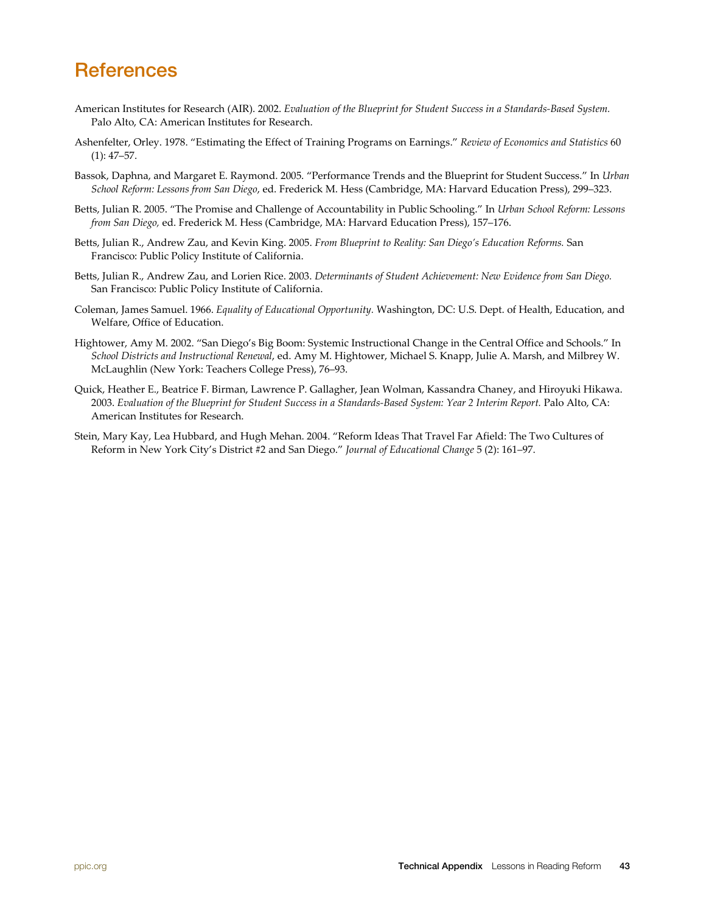## **References**

- American Institutes for Research (AIR). 2002. *Evaluation of the Blueprint for Student Success in a Standards-Based System.* Palo Alto, CA: American Institutes for Research.
- Ashenfelter, Orley. 1978. "Estimating the Effect of Training Programs on Earnings." *Review of Economics and Statistics* 60 (1): 47–57.
- Bassok, Daphna, and Margaret E. Raymond. 2005. "Performance Trends and the Blueprint for Student Success." In *Urban School Reform: Lessons from San Diego*, ed. Frederick M. Hess (Cambridge, MA: Harvard Education Press), 299–323.
- Betts, Julian R. 2005. "The Promise and Challenge of Accountability in Public Schooling." In *Urban School Reform: Lessons from San Diego,* ed. Frederick M. Hess (Cambridge, MA: Harvard Education Press), 157–176.
- Betts, Julian R., Andrew Zau, and Kevin King. 2005. *From Blueprint to Reality: San Diego's Education Reforms.* San Francisco: Public Policy Institute of California.
- Betts, Julian R., Andrew Zau, and Lorien Rice. 2003. *Determinants of Student Achievement: New Evidence from San Diego.* San Francisco: Public Policy Institute of California.
- Coleman, James Samuel. 1966. *Equality of Educational Opportunity.* Washington, DC: U.S. Dept. of Health, Education, and Welfare, Office of Education.
- Hightower, Amy M. 2002. "San Diego's Big Boom: Systemic Instructional Change in the Central Office and Schools." In *School Districts and Instructional Renewal*, ed. Amy M. Hightower, Michael S. Knapp, Julie A. Marsh, and Milbrey W. McLaughlin (New York: Teachers College Press), 76–93.
- Quick, Heather E., Beatrice F. Birman, Lawrence P. Gallagher, Jean Wolman, Kassandra Chaney, and Hiroyuki Hikawa. 2003. *Evaluation of the Blueprint for Student Success in a Standards-Based System: Year 2 Interim Report.* Palo Alto, CA: American Institutes for Research.
- Stein, Mary Kay, Lea Hubbard, and Hugh Mehan. 2004. "Reform Ideas That Travel Far Afield: The Two Cultures of Reform in New York City's District #2 and San Diego." *Journal of Educational Change* 5 (2): 161–97.